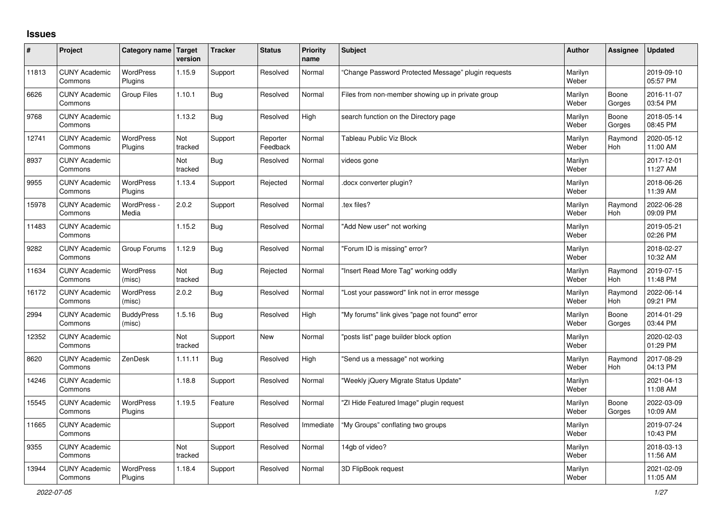## **Issues**

| #     | Project                         | Category name Target        | version        | <b>Tracker</b> | <b>Status</b>        | Priority<br>name | <b>Subject</b>                                      | <b>Author</b>    | Assignee              | <b>Updated</b>         |
|-------|---------------------------------|-----------------------------|----------------|----------------|----------------------|------------------|-----------------------------------------------------|------------------|-----------------------|------------------------|
| 11813 | <b>CUNY Academic</b><br>Commons | <b>WordPress</b><br>Plugins | 1.15.9         | Support        | Resolved             | Normal           | 'Change Password Protected Message" plugin requests | Marilyn<br>Weber |                       | 2019-09-10<br>05:57 PM |
| 6626  | <b>CUNY Academic</b><br>Commons | <b>Group Files</b>          | 1.10.1         | Bug            | Resolved             | Normal           | Files from non-member showing up in private group   | Marilyn<br>Weber | Boone<br>Gorges       | 2016-11-07<br>03:54 PM |
| 9768  | <b>CUNY Academic</b><br>Commons |                             | 1.13.2         | Bug            | Resolved             | High             | search function on the Directory page               | Marilyn<br>Weber | Boone<br>Gorges       | 2018-05-14<br>08:45 PM |
| 12741 | <b>CUNY Academic</b><br>Commons | <b>WordPress</b><br>Plugins | Not<br>tracked | Support        | Reporter<br>Feedback | Normal           | Tableau Public Viz Block                            | Marilyn<br>Weber | Raymond<br><b>Hoh</b> | 2020-05-12<br>11:00 AM |
| 8937  | <b>CUNY Academic</b><br>Commons |                             | Not<br>tracked | Bug            | Resolved             | Normal           | videos gone                                         | Marilyn<br>Weber |                       | 2017-12-01<br>11:27 AM |
| 9955  | <b>CUNY Academic</b><br>Commons | WordPress<br>Plugins        | 1.13.4         | Support        | Rejected             | Normal           | docx converter plugin?                              | Marilyn<br>Weber |                       | 2018-06-26<br>11:39 AM |
| 15978 | <b>CUNY Academic</b><br>Commons | WordPress -<br>Media        | 2.0.2          | Support        | Resolved             | Normal           | tex files?                                          | Marilyn<br>Weber | Raymond<br>Hoh        | 2022-06-28<br>09:09 PM |
| 11483 | <b>CUNY Academic</b><br>Commons |                             | 1.15.2         | Bug            | Resolved             | Normal           | 'Add New user" not working                          | Marilyn<br>Weber |                       | 2019-05-21<br>02:26 PM |
| 9282  | <b>CUNY Academic</b><br>Commons | Group Forums                | 1.12.9         | Bug            | Resolved             | Normal           | "Forum ID is missing" error?                        | Marilyn<br>Weber |                       | 2018-02-27<br>10:32 AM |
| 11634 | <b>CUNY Academic</b><br>Commons | <b>WordPress</b><br>(misc)  | Not<br>tracked | Bug            | Rejected             | Normal           | 'Insert Read More Tag" working oddly                | Marilyn<br>Weber | Raymond<br>Hoh        | 2019-07-15<br>11:48 PM |
| 16172 | <b>CUNY Academic</b><br>Commons | <b>WordPress</b><br>(misc)  | 2.0.2          | <b>Bug</b>     | Resolved             | Normal           | 'Lost your password" link not in error messge       | Marilyn<br>Weber | Raymond<br><b>Hoh</b> | 2022-06-14<br>09:21 PM |
| 2994  | <b>CUNY Academic</b><br>Commons | <b>BuddyPress</b><br>(misc) | 1.5.16         | Bug            | Resolved             | High             | "My forums" link gives "page not found" error       | Marilyn<br>Weber | Boone<br>Gorges       | 2014-01-29<br>03:44 PM |
| 12352 | <b>CUNY Academic</b><br>Commons |                             | Not<br>tracked | Support        | <b>New</b>           | Normal           | posts list" page builder block option               | Marilyn<br>Weber |                       | 2020-02-03<br>01:29 PM |
| 8620  | <b>CUNY Academic</b><br>Commons | ZenDesk                     | 1.11.11        | Bug            | Resolved             | High             | 'Send us a message" not working                     | Marilyn<br>Weber | Raymond<br>Hoh        | 2017-08-29<br>04:13 PM |
| 14246 | <b>CUNY Academic</b><br>Commons |                             | 1.18.8         | Support        | Resolved             | Normal           | "Weekly jQuery Migrate Status Update"               | Marilyn<br>Weber |                       | 2021-04-13<br>11:08 AM |
| 15545 | <b>CUNY Academic</b><br>Commons | WordPress<br>Plugins        | 1.19.5         | Feature        | Resolved             | Normal           | 'ZI Hide Featured Image" plugin request             | Marilyn<br>Weber | Boone<br>Gorges       | 2022-03-09<br>10:09 AM |
| 11665 | <b>CUNY Academic</b><br>Commons |                             |                | Support        | Resolved             | Immediate        | "My Groups" conflating two groups                   | Marilyn<br>Weber |                       | 2019-07-24<br>10:43 PM |
| 9355  | <b>CUNY Academic</b><br>Commons |                             | Not<br>tracked | Support        | Resolved             | Normal           | 14gb of video?                                      | Marilyn<br>Weber |                       | 2018-03-13<br>11:56 AM |
| 13944 | <b>CUNY Academic</b><br>Commons | <b>WordPress</b><br>Plugins | 1.18.4         | Support        | Resolved             | Normal           | 3D FlipBook request                                 | Marilyn<br>Weber |                       | 2021-02-09<br>11:05 AM |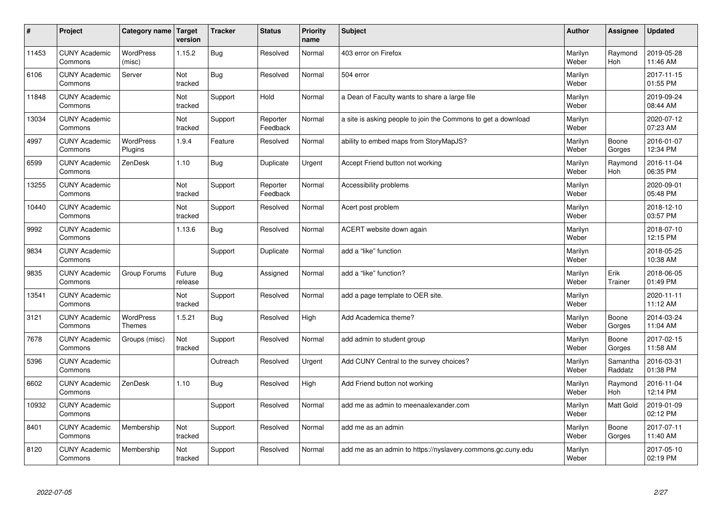| #     | Project                         | Category name   Target            | version           | <b>Tracker</b> | <b>Status</b>        | <b>Priority</b><br>name | <b>Subject</b>                                                | <b>Author</b>    | <b>Assignee</b>     | <b>Updated</b>         |
|-------|---------------------------------|-----------------------------------|-------------------|----------------|----------------------|-------------------------|---------------------------------------------------------------|------------------|---------------------|------------------------|
| 11453 | <b>CUNY Academic</b><br>Commons | <b>WordPress</b><br>(misc)        | 1.15.2            | Bug            | Resolved             | Normal                  | 403 error on Firefox                                          | Marilyn<br>Weber | Raymond<br>Hoh      | 2019-05-28<br>11:46 AM |
| 6106  | <b>CUNY Academic</b><br>Commons | Server                            | Not<br>tracked    | Bug            | Resolved             | Normal                  | 504 error                                                     | Marilyn<br>Weber |                     | 2017-11-15<br>01:55 PM |
| 11848 | <b>CUNY Academic</b><br>Commons |                                   | Not<br>tracked    | Support        | Hold                 | Normal                  | a Dean of Faculty wants to share a large file                 | Marilyn<br>Weber |                     | 2019-09-24<br>08:44 AM |
| 13034 | <b>CUNY Academic</b><br>Commons |                                   | Not<br>tracked    | Support        | Reporter<br>Feedback | Normal                  | a site is asking people to join the Commons to get a download | Marilyn<br>Weber |                     | 2020-07-12<br>07:23 AM |
| 4997  | <b>CUNY Academic</b><br>Commons | <b>WordPress</b><br>Plugins       | 1.9.4             | Feature        | Resolved             | Normal                  | ability to embed maps from StoryMapJS?                        | Marilyn<br>Weber | Boone<br>Gorges     | 2016-01-07<br>12:34 PM |
| 6599  | <b>CUNY Academic</b><br>Commons | ZenDesk                           | 1.10              | Bug            | Duplicate            | Urgent                  | Accept Friend button not working                              | Marilyn<br>Weber | Raymond<br>Hoh      | 2016-11-04<br>06:35 PM |
| 13255 | <b>CUNY Academic</b><br>Commons |                                   | Not<br>tracked    | Support        | Reporter<br>Feedback | Normal                  | Accessibility problems                                        | Marilyn<br>Weber |                     | 2020-09-01<br>05:48 PM |
| 10440 | <b>CUNY Academic</b><br>Commons |                                   | Not<br>tracked    | Support        | Resolved             | Normal                  | Acert post problem                                            | Marilyn<br>Weber |                     | 2018-12-10<br>03:57 PM |
| 9992  | <b>CUNY Academic</b><br>Commons |                                   | 1.13.6            | Bug            | Resolved             | Normal                  | ACERT website down again                                      | Marilyn<br>Weber |                     | 2018-07-10<br>12:15 PM |
| 9834  | <b>CUNY Academic</b><br>Commons |                                   |                   | Support        | Duplicate            | Normal                  | add a "like" function                                         | Marilyn<br>Weber |                     | 2018-05-25<br>10:38 AM |
| 9835  | <b>CUNY Academic</b><br>Commons | Group Forums                      | Future<br>release | Bug            | Assigned             | Normal                  | add a "like" function?                                        | Marilyn<br>Weber | Erik<br>Trainer     | 2018-06-05<br>01:49 PM |
| 13541 | <b>CUNY Academic</b><br>Commons |                                   | Not<br>tracked    | Support        | Resolved             | Normal                  | add a page template to OER site.                              | Marilyn<br>Weber |                     | 2020-11-11<br>11:12 AM |
| 3121  | <b>CUNY Academic</b><br>Commons | <b>WordPress</b><br><b>Themes</b> | 1.5.21            | <b>Bug</b>     | Resolved             | High                    | Add Academica theme?                                          | Marilyn<br>Weber | Boone<br>Gorges     | 2014-03-24<br>11:04 AM |
| 7678  | <b>CUNY Academic</b><br>Commons | Groups (misc)                     | Not<br>tracked    | Support        | Resolved             | Normal                  | add admin to student group                                    | Marilyn<br>Weber | Boone<br>Gorges     | 2017-02-15<br>11:58 AM |
| 5396  | <b>CUNY Academic</b><br>Commons |                                   |                   | Outreach       | Resolved             | Urgent                  | Add CUNY Central to the survey choices?                       | Marilyn<br>Weber | Samantha<br>Raddatz | 2016-03-31<br>01:38 PM |
| 6602  | <b>CUNY Academic</b><br>Commons | ZenDesk                           | 1.10              | Bug            | Resolved             | High                    | Add Friend button not working                                 | Marilyn<br>Weber | Raymond<br>Hoh      | 2016-11-04<br>12:14 PM |
| 10932 | <b>CUNY Academic</b><br>Commons |                                   |                   | Support        | Resolved             | Normal                  | add me as admin to meenaalexander.com                         | Marilyn<br>Weber | Matt Gold           | 2019-01-09<br>02:12 PM |
| 8401  | <b>CUNY Academic</b><br>Commons | Membership                        | Not<br>tracked    | Support        | Resolved             | Normal                  | add me as an admin                                            | Marilyn<br>Weber | Boone<br>Gorges     | 2017-07-11<br>11:40 AM |
| 8120  | <b>CUNY Academic</b><br>Commons | Membership                        | Not<br>tracked    | Support        | Resolved             | Normal                  | add me as an admin to https://nyslavery.commons.gc.cuny.edu   | Marilyn<br>Weber |                     | 2017-05-10<br>02:19 PM |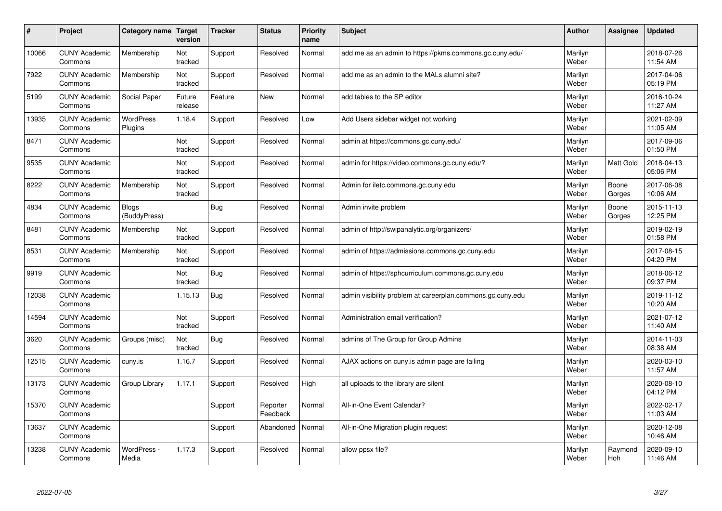| $\sharp$ | Project                         | Category name                | Target<br>version | <b>Tracker</b> | <b>Status</b>        | <b>Priority</b><br>name | <b>Subject</b>                                             | <b>Author</b>    | Assignee         | <b>Updated</b>         |
|----------|---------------------------------|------------------------------|-------------------|----------------|----------------------|-------------------------|------------------------------------------------------------|------------------|------------------|------------------------|
| 10066    | <b>CUNY Academic</b><br>Commons | Membership                   | Not<br>tracked    | Support        | Resolved             | Normal                  | add me as an admin to https://pkms.commons.gc.cuny.edu/    | Marilyn<br>Weber |                  | 2018-07-26<br>11:54 AM |
| 7922     | <b>CUNY Academic</b><br>Commons | Membership                   | Not<br>tracked    | Support        | Resolved             | Normal                  | add me as an admin to the MALs alumni site?                | Marilyn<br>Weber |                  | 2017-04-06<br>05:19 PM |
| 5199     | <b>CUNY Academic</b><br>Commons | Social Paper                 | Future<br>release | Feature        | <b>New</b>           | Normal                  | add tables to the SP editor                                | Marilyn<br>Weber |                  | 2016-10-24<br>11:27 AM |
| 13935    | <b>CUNY Academic</b><br>Commons | <b>WordPress</b><br>Plugins  | 1.18.4            | Support        | Resolved             | Low                     | Add Users sidebar widget not working                       | Marilyn<br>Weber |                  | 2021-02-09<br>11:05 AM |
| 8471     | <b>CUNY Academic</b><br>Commons |                              | Not<br>tracked    | Support        | Resolved             | Normal                  | admin at https://commons.gc.cuny.edu/                      | Marilyn<br>Weber |                  | 2017-09-06<br>01:50 PM |
| 9535     | <b>CUNY Academic</b><br>Commons |                              | Not<br>tracked    | Support        | Resolved             | Normal                  | admin for https://video.commons.gc.cuny.edu/?              | Marilyn<br>Weber | <b>Matt Gold</b> | 2018-04-13<br>05:06 PM |
| 8222     | <b>CUNY Academic</b><br>Commons | Membership                   | Not<br>tracked    | Support        | Resolved             | Normal                  | Admin for iletc.commons.gc.cuny.edu                        | Marilyn<br>Weber | Boone<br>Gorges  | 2017-06-08<br>10:06 AM |
| 4834     | <b>CUNY Academic</b><br>Commons | <b>Blogs</b><br>(BuddyPress) |                   | Bug            | Resolved             | Normal                  | Admin invite problem                                       | Marilyn<br>Weber | Boone<br>Gorges  | 2015-11-13<br>12:25 PM |
| 8481     | <b>CUNY Academic</b><br>Commons | Membership                   | Not<br>tracked    | Support        | Resolved             | Normal                  | admin of http://swipanalytic.org/organizers/               | Marilyn<br>Weber |                  | 2019-02-19<br>01:58 PM |
| 8531     | <b>CUNY Academic</b><br>Commons | Membership                   | Not<br>tracked    | Support        | Resolved             | Normal                  | admin of https://admissions.commons.gc.cuny.edu            | Marilyn<br>Weber |                  | 2017-08-15<br>04:20 PM |
| 9919     | <b>CUNY Academic</b><br>Commons |                              | Not<br>tracked    | Bug            | Resolved             | Normal                  | admin of https://sphcurriculum.commons.gc.cuny.edu         | Marilyn<br>Weber |                  | 2018-06-12<br>09:37 PM |
| 12038    | <b>CUNY Academic</b><br>Commons |                              | 1.15.13           | Bug            | Resolved             | Normal                  | admin visibility problem at careerplan.commons.gc.cuny.edu | Marilyn<br>Weber |                  | 2019-11-12<br>10:20 AM |
| 14594    | <b>CUNY Academic</b><br>Commons |                              | Not<br>tracked    | Support        | Resolved             | Normal                  | Administration email verification?                         | Marilyn<br>Weber |                  | 2021-07-12<br>11:40 AM |
| 3620     | <b>CUNY Academic</b><br>Commons | Groups (misc)                | Not<br>tracked    | Bug            | Resolved             | Normal                  | admins of The Group for Group Admins                       | Marilyn<br>Weber |                  | 2014-11-03<br>08:38 AM |
| 12515    | <b>CUNY Academic</b><br>Commons | cuny.is                      | 1.16.7            | Support        | Resolved             | Normal                  | AJAX actions on cuny is admin page are failing             | Marilyn<br>Weber |                  | 2020-03-10<br>11:57 AM |
| 13173    | <b>CUNY Academic</b><br>Commons | Group Library                | 1.17.1            | Support        | Resolved             | High                    | all uploads to the library are silent                      | Marilyn<br>Weber |                  | 2020-08-10<br>04:12 PM |
| 15370    | <b>CUNY Academic</b><br>Commons |                              |                   | Support        | Reporter<br>Feedback | Normal                  | All-in-One Event Calendar?                                 | Marilyn<br>Weber |                  | 2022-02-17<br>11:03 AM |
| 13637    | <b>CUNY Academic</b><br>Commons |                              |                   | Support        | Abandoned            | Normal                  | All-in-One Migration plugin request                        | Marilyn<br>Weber |                  | 2020-12-08<br>10:46 AM |
| 13238    | <b>CUNY Academic</b><br>Commons | WordPress -<br>Media         | 1.17.3            | Support        | Resolved             | Normal                  | allow ppsx file?                                           | Marilyn<br>Weber | Raymond<br>Hoh   | 2020-09-10<br>11:46 AM |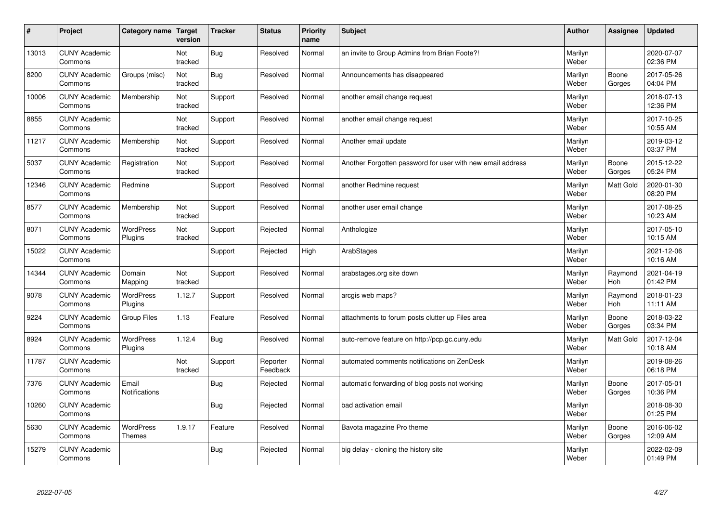| #     | Project                         | Category name   Target        | version        | <b>Tracker</b> | <b>Status</b>        | <b>Priority</b><br>name | <b>Subject</b>                                             | <b>Author</b>    | <b>Assignee</b>       | <b>Updated</b>         |
|-------|---------------------------------|-------------------------------|----------------|----------------|----------------------|-------------------------|------------------------------------------------------------|------------------|-----------------------|------------------------|
| 13013 | <b>CUNY Academic</b><br>Commons |                               | Not<br>tracked | Bug            | Resolved             | Normal                  | an invite to Group Admins from Brian Foote?!               | Marilyn<br>Weber |                       | 2020-07-07<br>02:36 PM |
| 8200  | <b>CUNY Academic</b><br>Commons | Groups (misc)                 | Not<br>tracked | Bug            | Resolved             | Normal                  | Announcements has disappeared                              | Marilyn<br>Weber | Boone<br>Gorges       | 2017-05-26<br>04:04 PM |
| 10006 | <b>CUNY Academic</b><br>Commons | Membership                    | Not<br>tracked | Support        | Resolved             | Normal                  | another email change request                               | Marilyn<br>Weber |                       | 2018-07-13<br>12:36 PM |
| 8855  | <b>CUNY Academic</b><br>Commons |                               | Not<br>tracked | Support        | Resolved             | Normal                  | another email change request                               | Marilyn<br>Weber |                       | 2017-10-25<br>10:55 AM |
| 11217 | <b>CUNY Academic</b><br>Commons | Membership                    | Not<br>tracked | Support        | Resolved             | Normal                  | Another email update                                       | Marilyn<br>Weber |                       | 2019-03-12<br>03:37 PM |
| 5037  | <b>CUNY Academic</b><br>Commons | Registration                  | Not<br>tracked | Support        | Resolved             | Normal                  | Another Forgotten password for user with new email address | Marilyn<br>Weber | Boone<br>Gorges       | 2015-12-22<br>05:24 PM |
| 12346 | <b>CUNY Academic</b><br>Commons | Redmine                       |                | Support        | Resolved             | Normal                  | another Redmine request                                    | Marilyn<br>Weber | <b>Matt Gold</b>      | 2020-01-30<br>08:20 PM |
| 8577  | <b>CUNY Academic</b><br>Commons | Membership                    | Not<br>tracked | Support        | Resolved             | Normal                  | another user email change                                  | Marilyn<br>Weber |                       | 2017-08-25<br>10:23 AM |
| 8071  | <b>CUNY Academic</b><br>Commons | WordPress<br>Plugins          | Not<br>tracked | Support        | Rejected             | Normal                  | Anthologize                                                | Marilyn<br>Weber |                       | 2017-05-10<br>10:15 AM |
| 15022 | <b>CUNY Academic</b><br>Commons |                               |                | Support        | Rejected             | High                    | ArabStages                                                 | Marilyn<br>Weber |                       | 2021-12-06<br>10:16 AM |
| 14344 | <b>CUNY Academic</b><br>Commons | Domain<br>Mapping             | Not<br>tracked | Support        | Resolved             | Normal                  | arabstages.org site down                                   | Marilyn<br>Weber | Raymond<br><b>Hoh</b> | 2021-04-19<br>01:42 PM |
| 9078  | <b>CUNY Academic</b><br>Commons | <b>WordPress</b><br>Plugins   | 1.12.7         | Support        | Resolved             | Normal                  | arcgis web maps?                                           | Marilyn<br>Weber | Raymond<br>Hoh        | 2018-01-23<br>11:11 AM |
| 9224  | <b>CUNY Academic</b><br>Commons | <b>Group Files</b>            | 1.13           | Feature        | Resolved             | Normal                  | attachments to forum posts clutter up Files area           | Marilyn<br>Weber | Boone<br>Gorges       | 2018-03-22<br>03:34 PM |
| 8924  | <b>CUNY Academic</b><br>Commons | WordPress<br>Plugins          | 1.12.4         | Bug            | Resolved             | Normal                  | auto-remove feature on http://pcp.gc.cuny.edu              | Marilyn<br>Weber | Matt Gold             | 2017-12-04<br>10:18 AM |
| 11787 | <b>CUNY Academic</b><br>Commons |                               | Not<br>tracked | Support        | Reporter<br>Feedback | Normal                  | automated comments notifications on ZenDesk                | Marilyn<br>Weber |                       | 2019-08-26<br>06:18 PM |
| 7376  | <b>CUNY Academic</b><br>Commons | Email<br><b>Notifications</b> |                | Bug            | Rejected             | Normal                  | automatic forwarding of blog posts not working             | Marilyn<br>Weber | Boone<br>Gorges       | 2017-05-01<br>10:36 PM |
| 10260 | <b>CUNY Academic</b><br>Commons |                               |                | Bug            | Rejected             | Normal                  | bad activation email                                       | Marilyn<br>Weber |                       | 2018-08-30<br>01:25 PM |
| 5630  | <b>CUNY Academic</b><br>Commons | WordPress<br><b>Themes</b>    | 1.9.17         | Feature        | Resolved             | Normal                  | Bavota magazine Pro theme                                  | Marilyn<br>Weber | Boone<br>Gorges       | 2016-06-02<br>12:09 AM |
| 15279 | <b>CUNY Academic</b><br>Commons |                               |                | Bug            | Rejected             | Normal                  | big delay - cloning the history site                       | Marilyn<br>Weber |                       | 2022-02-09<br>01:49 PM |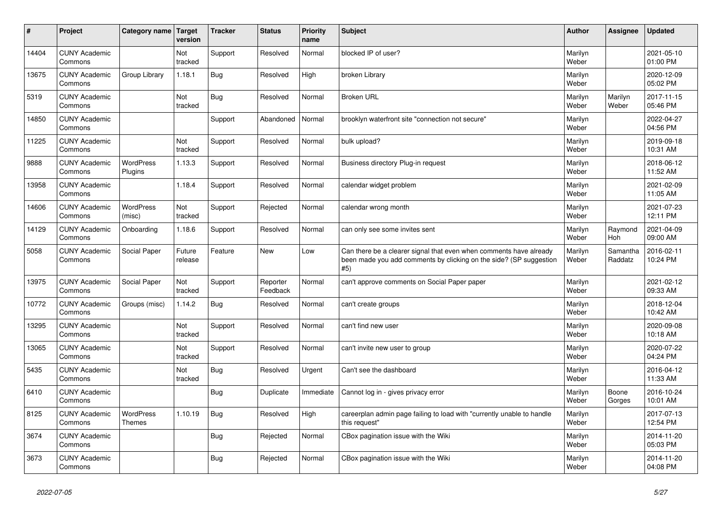| #     | Project                         | Category name   Target      | version           | <b>Tracker</b> | <b>Status</b>        | <b>Priority</b><br>name | <b>Subject</b>                                                                                                                                  | <b>Author</b>    | Assignee              | <b>Updated</b>         |
|-------|---------------------------------|-----------------------------|-------------------|----------------|----------------------|-------------------------|-------------------------------------------------------------------------------------------------------------------------------------------------|------------------|-----------------------|------------------------|
| 14404 | <b>CUNY Academic</b><br>Commons |                             | Not<br>tracked    | Support        | Resolved             | Normal                  | blocked IP of user?                                                                                                                             | Marilyn<br>Weber |                       | 2021-05-10<br>01:00 PM |
| 13675 | <b>CUNY Academic</b><br>Commons | Group Library               | 1.18.1            | Bug            | Resolved             | High                    | broken Library                                                                                                                                  | Marilyn<br>Weber |                       | 2020-12-09<br>05:02 PM |
| 5319  | <b>CUNY Academic</b><br>Commons |                             | Not<br>tracked    | Bug            | Resolved             | Normal                  | <b>Broken URL</b>                                                                                                                               | Marilyn<br>Weber | Marilyn<br>Weber      | 2017-11-15<br>05:46 PM |
| 14850 | <b>CUNY Academic</b><br>Commons |                             |                   | Support        | Abandoned            | Normal                  | brooklyn waterfront site "connection not secure"                                                                                                | Marilyn<br>Weber |                       | 2022-04-27<br>04:56 PM |
| 11225 | <b>CUNY Academic</b><br>Commons |                             | Not<br>tracked    | Support        | Resolved             | Normal                  | bulk upload?                                                                                                                                    | Marilyn<br>Weber |                       | 2019-09-18<br>10:31 AM |
| 9888  | <b>CUNY Academic</b><br>Commons | <b>WordPress</b><br>Plugins | 1.13.3            | Support        | Resolved             | Normal                  | Business directory Plug-in request                                                                                                              | Marilyn<br>Weber |                       | 2018-06-12<br>11:52 AM |
| 13958 | <b>CUNY Academic</b><br>Commons |                             | 1.18.4            | Support        | Resolved             | Normal                  | calendar widget problem                                                                                                                         | Marilyn<br>Weber |                       | 2021-02-09<br>11:05 AM |
| 14606 | <b>CUNY Academic</b><br>Commons | <b>WordPress</b><br>(misc)  | Not<br>tracked    | Support        | Rejected             | Normal                  | calendar wrong month                                                                                                                            | Marilyn<br>Weber |                       | 2021-07-23<br>12:11 PM |
| 14129 | <b>CUNY Academic</b><br>Commons | Onboarding                  | 1.18.6            | Support        | Resolved             | Normal                  | can only see some invites sent                                                                                                                  | Marilyn<br>Weber | Raymond<br><b>Hoh</b> | 2021-04-09<br>09:00 AM |
| 5058  | <b>CUNY Academic</b><br>Commons | Social Paper                | Future<br>release | Feature        | <b>New</b>           | Low                     | Can there be a clearer signal that even when comments have already<br>been made you add comments by clicking on the side? (SP suggestion<br>#5) | Marilyn<br>Weber | Samantha<br>Raddatz   | 2016-02-11<br>10:24 PM |
| 13975 | <b>CUNY Academic</b><br>Commons | Social Paper                | Not<br>tracked    | Support        | Reporter<br>Feedback | Normal                  | can't approve comments on Social Paper paper                                                                                                    | Marilyn<br>Weber |                       | 2021-02-12<br>09:33 AM |
| 10772 | <b>CUNY Academic</b><br>Commons | Groups (misc)               | 1.14.2            | Bug            | Resolved             | Normal                  | can't create groups                                                                                                                             | Marilyn<br>Weber |                       | 2018-12-04<br>10:42 AM |
| 13295 | <b>CUNY Academic</b><br>Commons |                             | Not<br>tracked    | Support        | Resolved             | Normal                  | can't find new user                                                                                                                             | Marilyn<br>Weber |                       | 2020-09-08<br>10:18 AM |
| 13065 | <b>CUNY Academic</b><br>Commons |                             | Not<br>tracked    | Support        | Resolved             | Normal                  | can't invite new user to group                                                                                                                  | Marilyn<br>Weber |                       | 2020-07-22<br>04:24 PM |
| 5435  | <b>CUNY Academic</b><br>Commons |                             | Not<br>tracked    | Bug            | Resolved             | Urgent                  | Can't see the dashboard                                                                                                                         | Marilyn<br>Weber |                       | 2016-04-12<br>11:33 AM |
| 6410  | <b>CUNY Academic</b><br>Commons |                             |                   | Bug            | Duplicate            | Immediate               | Cannot log in - gives privacy error                                                                                                             | Marilyn<br>Weber | Boone<br>Gorges       | 2016-10-24<br>10:01 AM |
| 8125  | <b>CUNY Academic</b><br>Commons | WordPress<br><b>Themes</b>  | 1.10.19           | Bug            | Resolved             | High                    | careerplan admin page failing to load with "currently unable to handle<br>this request"                                                         | Marilyn<br>Weber |                       | 2017-07-13<br>12:54 PM |
| 3674  | <b>CUNY Academic</b><br>Commons |                             |                   | Bug            | Rejected             | Normal                  | CBox pagination issue with the Wiki                                                                                                             | Marilyn<br>Weber |                       | 2014-11-20<br>05:03 PM |
| 3673  | <b>CUNY Academic</b><br>Commons |                             |                   | <b>Bug</b>     | Rejected             | Normal                  | CBox pagination issue with the Wiki                                                                                                             | Marilyn<br>Weber |                       | 2014-11-20<br>04:08 PM |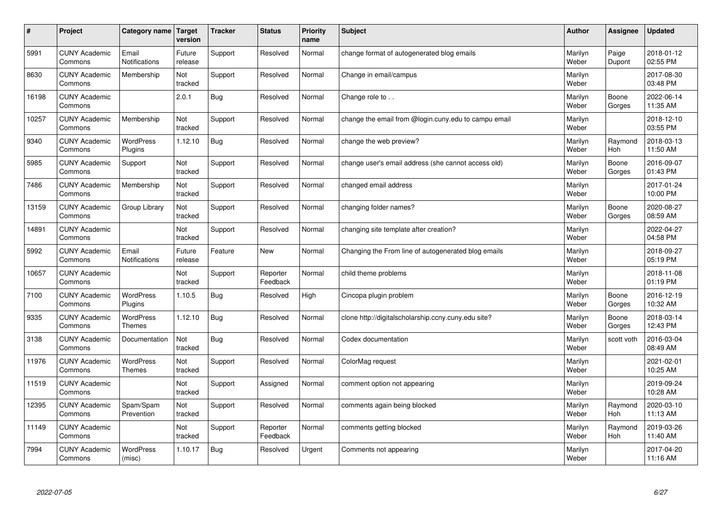| $\#$  | Project                         | Category name   Target            | version           | <b>Tracker</b> | <b>Status</b>        | <b>Priority</b><br>name | <b>Subject</b>                                       | <b>Author</b>    | <b>Assignee</b>       | <b>Updated</b>         |
|-------|---------------------------------|-----------------------------------|-------------------|----------------|----------------------|-------------------------|------------------------------------------------------|------------------|-----------------------|------------------------|
| 5991  | <b>CUNY Academic</b><br>Commons | Email<br>Notifications            | Future<br>release | Support        | Resolved             | Normal                  | change format of autogenerated blog emails           | Marilyn<br>Weber | Paige<br>Dupont       | 2018-01-12<br>02:55 PM |
| 8630  | <b>CUNY Academic</b><br>Commons | Membership                        | Not<br>tracked    | Support        | Resolved             | Normal                  | Change in email/campus                               | Marilyn<br>Weber |                       | 2017-08-30<br>03:48 PM |
| 16198 | <b>CUNY Academic</b><br>Commons |                                   | 2.0.1             | Bug            | Resolved             | Normal                  | Change role to                                       | Marilyn<br>Weber | Boone<br>Gorges       | 2022-06-14<br>11:35 AM |
| 10257 | <b>CUNY Academic</b><br>Commons | Membership                        | Not<br>tracked    | Support        | Resolved             | Normal                  | change the email from @login.cuny.edu to campu email | Marilyn<br>Weber |                       | 2018-12-10<br>03:55 PM |
| 9340  | <b>CUNY Academic</b><br>Commons | <b>WordPress</b><br>Plugins       | 1.12.10           | Bug            | Resolved             | Normal                  | change the web preview?                              | Marilyn<br>Weber | Raymond<br>Hoh        | 2018-03-13<br>11:50 AM |
| 5985  | <b>CUNY Academic</b><br>Commons | Support                           | Not<br>tracked    | Support        | Resolved             | Normal                  | change user's email address (she cannot access old)  | Marilyn<br>Weber | Boone<br>Gorges       | 2016-09-07<br>01:43 PM |
| 7486  | <b>CUNY Academic</b><br>Commons | Membership                        | Not<br>tracked    | Support        | Resolved             | Normal                  | changed email address                                | Marilyn<br>Weber |                       | 2017-01-24<br>10:00 PM |
| 13159 | <b>CUNY Academic</b><br>Commons | Group Library                     | Not<br>tracked    | Support        | Resolved             | Normal                  | changing folder names?                               | Marilyn<br>Weber | Boone<br>Gorges       | 2020-08-27<br>08:59 AM |
| 14891 | <b>CUNY Academic</b><br>Commons |                                   | Not<br>tracked    | Support        | Resolved             | Normal                  | changing site template after creation?               | Marilyn<br>Weber |                       | 2022-04-27<br>04:58 PM |
| 5992  | <b>CUNY Academic</b><br>Commons | Email<br>Notifications            | Future<br>release | Feature        | <b>New</b>           | Normal                  | Changing the From line of autogenerated blog emails  | Marilyn<br>Weber |                       | 2018-09-27<br>05:19 PM |
| 10657 | <b>CUNY Academic</b><br>Commons |                                   | Not<br>tracked    | Support        | Reporter<br>Feedback | Normal                  | child theme problems                                 | Marilyn<br>Weber |                       | 2018-11-08<br>01:19 PM |
| 7100  | <b>CUNY Academic</b><br>Commons | WordPress<br>Plugins              | 1.10.5            | Bug            | Resolved             | High                    | Cincopa plugin problem                               | Marilyn<br>Weber | Boone<br>Gorges       | 2016-12-19<br>10:32 AM |
| 9335  | <b>CUNY Academic</b><br>Commons | <b>WordPress</b><br><b>Themes</b> | 1.12.10           | Bug            | Resolved             | Normal                  | clone http://digitalscholarship.ccny.cuny.edu site?  | Marilyn<br>Weber | Boone<br>Gorges       | 2018-03-14<br>12:43 PM |
| 3138  | <b>CUNY Academic</b><br>Commons | Documentation                     | Not<br>tracked    | Bug            | Resolved             | Normal                  | Codex documentation                                  | Marilyn<br>Weber | scott voth            | 2016-03-04<br>08:49 AM |
| 11976 | <b>CUNY Academic</b><br>Commons | <b>WordPress</b><br><b>Themes</b> | Not<br>tracked    | Support        | Resolved             | Normal                  | ColorMag request                                     | Marilyn<br>Weber |                       | 2021-02-01<br>10:25 AM |
| 11519 | <b>CUNY Academic</b><br>Commons |                                   | Not<br>tracked    | Support        | Assigned             | Normal                  | comment option not appearing                         | Marilyn<br>Weber |                       | 2019-09-24<br>10:28 AM |
| 12395 | <b>CUNY Academic</b><br>Commons | Spam/Spam<br>Prevention           | Not<br>tracked    | Support        | Resolved             | Normal                  | comments again being blocked                         | Marilyn<br>Weber | Raymond<br>Hoh        | 2020-03-10<br>11:13 AM |
| 11149 | <b>CUNY Academic</b><br>Commons |                                   | Not<br>tracked    | Support        | Reporter<br>Feedback | Normal                  | comments getting blocked                             | Marilyn<br>Weber | Raymond<br><b>Hoh</b> | 2019-03-26<br>11:40 AM |
| 7994  | <b>CUNY Academic</b><br>Commons | <b>WordPress</b><br>(misc)        | 1.10.17           | Bug            | Resolved             | Urgent                  | Comments not appearing                               | Marilyn<br>Weber |                       | 2017-04-20<br>11:16 AM |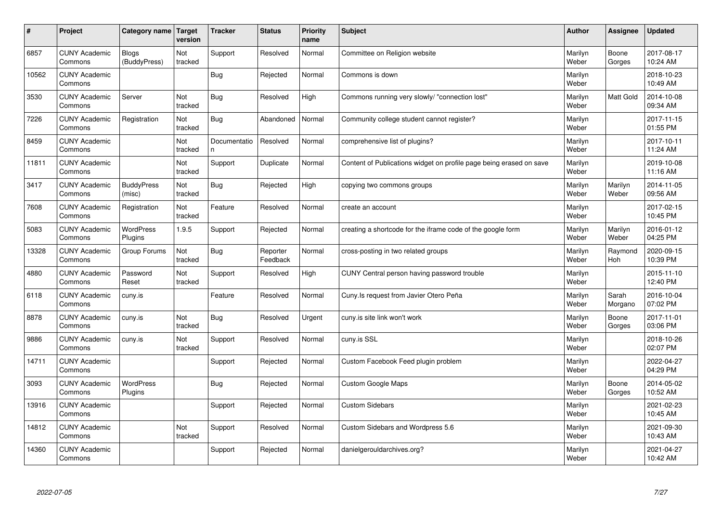| #     | Project                         | Category name                | <b>Target</b><br>version | <b>Tracker</b>     | <b>Status</b>        | <b>Priority</b><br>name | <b>Subject</b>                                                      | <b>Author</b>    | Assignee         | Updated                |
|-------|---------------------------------|------------------------------|--------------------------|--------------------|----------------------|-------------------------|---------------------------------------------------------------------|------------------|------------------|------------------------|
| 6857  | <b>CUNY Academic</b><br>Commons | <b>Blogs</b><br>(BuddyPress) | Not<br>tracked           | Support            | Resolved             | Normal                  | Committee on Religion website                                       | Marilyn<br>Weber | Boone<br>Gorges  | 2017-08-17<br>10:24 AM |
| 10562 | <b>CUNY Academic</b><br>Commons |                              |                          | Bug                | Rejected             | Normal                  | Commons is down                                                     | Marilyn<br>Weber |                  | 2018-10-23<br>10:49 AM |
| 3530  | <b>CUNY Academic</b><br>Commons | Server                       | Not<br>tracked           | Bug                | Resolved             | High                    | Commons running very slowly/ "connection lost"                      | Marilyn<br>Weber | <b>Matt Gold</b> | 2014-10-08<br>09:34 AM |
| 7226  | <b>CUNY Academic</b><br>Commons | Registration                 | Not<br>tracked           | Bug                | Abandoned            | Normal                  | Community college student cannot register?                          | Marilyn<br>Weber |                  | 2017-11-15<br>01:55 PM |
| 8459  | <b>CUNY Academic</b><br>Commons |                              | Not<br>tracked           | Documentatio<br>n. | Resolved             | Normal                  | comprehensive list of plugins?                                      | Marilyn<br>Weber |                  | 2017-10-11<br>11:24 AM |
| 11811 | <b>CUNY Academic</b><br>Commons |                              | Not<br>tracked           | Support            | Duplicate            | Normal                  | Content of Publications widget on profile page being erased on save | Marilyn<br>Weber |                  | 2019-10-08<br>11:16 AM |
| 3417  | <b>CUNY Academic</b><br>Commons | <b>BuddyPress</b><br>(misc)  | Not<br>tracked           | Bug                | Rejected             | High                    | copying two commons groups                                          | Marilyn<br>Weber | Marilyn<br>Weber | 2014-11-05<br>09:56 AM |
| 7608  | <b>CUNY Academic</b><br>Commons | Registration                 | Not<br>tracked           | Feature            | Resolved             | Normal                  | create an account                                                   | Marilyn<br>Weber |                  | 2017-02-15<br>10:45 PM |
| 5083  | <b>CUNY Academic</b><br>Commons | <b>WordPress</b><br>Plugins  | 1.9.5                    | Support            | Rejected             | Normal                  | creating a shortcode for the iframe code of the google form         | Marilyn<br>Weber | Marilyn<br>Weber | 2016-01-12<br>04:25 PM |
| 13328 | <b>CUNY Academic</b><br>Commons | Group Forums                 | Not<br>tracked           | Bug                | Reporter<br>Feedback | Normal                  | cross-posting in two related groups                                 | Marilyn<br>Weber | Raymond<br>Hoh   | 2020-09-15<br>10:39 PM |
| 4880  | <b>CUNY Academic</b><br>Commons | Password<br>Reset            | Not<br>tracked           | Support            | Resolved             | High                    | CUNY Central person having password trouble                         | Marilyn<br>Weber |                  | 2015-11-10<br>12:40 PM |
| 6118  | <b>CUNY Academic</b><br>Commons | cuny.is                      |                          | Feature            | Resolved             | Normal                  | Cuny. Is request from Javier Otero Peña                             | Marilyn<br>Weber | Sarah<br>Morgano | 2016-10-04<br>07:02 PM |
| 8878  | <b>CUNY Academic</b><br>Commons | cuny.is                      | Not<br>tracked           | Bug                | Resolved             | Urgent                  | cuny is site link won't work                                        | Marilyn<br>Weber | Boone<br>Gorges  | 2017-11-01<br>03:06 PM |
| 9886  | <b>CUNY Academic</b><br>Commons | cuny.is                      | Not<br>tracked           | Support            | Resolved             | Normal                  | cuny.is SSL                                                         | Marilyn<br>Weber |                  | 2018-10-26<br>02:07 PM |
| 14711 | <b>CUNY Academic</b><br>Commons |                              |                          | Support            | Rejected             | Normal                  | Custom Facebook Feed plugin problem                                 | Marilyn<br>Weber |                  | 2022-04-27<br>04:29 PM |
| 3093  | <b>CUNY Academic</b><br>Commons | <b>WordPress</b><br>Plugins  |                          | Bug                | Rejected             | Normal                  | <b>Custom Google Maps</b>                                           | Marilyn<br>Weber | Boone<br>Gorges  | 2014-05-02<br>10:52 AM |
| 13916 | <b>CUNY Academic</b><br>Commons |                              |                          | Support            | Rejected             | Normal                  | <b>Custom Sidebars</b>                                              | Marilyn<br>Weber |                  | 2021-02-23<br>10:45 AM |
| 14812 | <b>CUNY Academic</b><br>Commons |                              | Not<br>tracked           | Support            | Resolved             | Normal                  | Custom Sidebars and Wordpress 5.6                                   | Marilyn<br>Weber |                  | 2021-09-30<br>10:43 AM |
| 14360 | <b>CUNY Academic</b><br>Commons |                              |                          | Support            | Rejected             | Normal                  | danielgerouldarchives.org?                                          | Marilyn<br>Weber |                  | 2021-04-27<br>10:42 AM |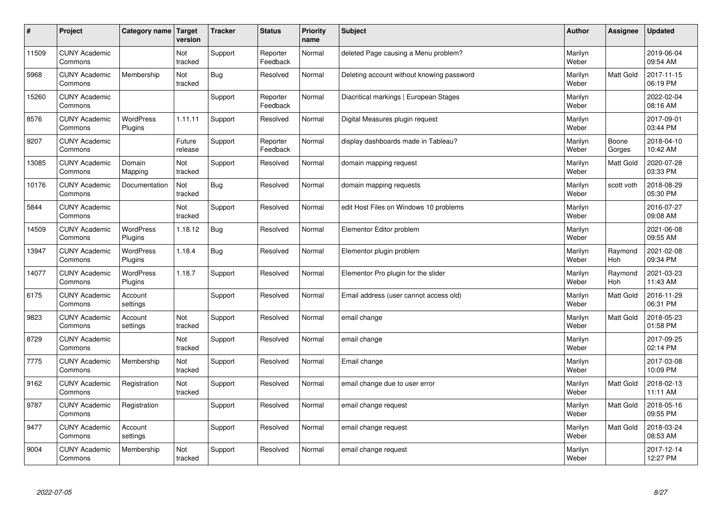| $\sharp$ | Project                         | Category name   Target      | version           | <b>Tracker</b> | <b>Status</b>        | <b>Priority</b><br>name | <b>Subject</b>                            | <b>Author</b>    | Assignee              | <b>Updated</b>         |
|----------|---------------------------------|-----------------------------|-------------------|----------------|----------------------|-------------------------|-------------------------------------------|------------------|-----------------------|------------------------|
| 11509    | <b>CUNY Academic</b><br>Commons |                             | Not<br>tracked    | Support        | Reporter<br>Feedback | Normal                  | deleted Page causing a Menu problem?      | Marilyn<br>Weber |                       | 2019-06-04<br>09:54 AM |
| 5968     | <b>CUNY Academic</b><br>Commons | Membership                  | Not<br>tracked    | Bug            | Resolved             | Normal                  | Deleting account without knowing password | Marilyn<br>Weber | <b>Matt Gold</b>      | 2017-11-15<br>06:19 PM |
| 15260    | <b>CUNY Academic</b><br>Commons |                             |                   | Support        | Reporter<br>Feedback | Normal                  | Diacritical markings   European Stages    | Marilyn<br>Weber |                       | 2022-02-04<br>08:16 AM |
| 8576     | <b>CUNY Academic</b><br>Commons | <b>WordPress</b><br>Plugins | 1.11.11           | Support        | Resolved             | Normal                  | Digital Measures plugin request           | Marilyn<br>Weber |                       | 2017-09-01<br>03:44 PM |
| 9207     | <b>CUNY Academic</b><br>Commons |                             | Future<br>release | Support        | Reporter<br>Feedback | Normal                  | display dashboards made in Tableau?       | Marilyn<br>Weber | Boone<br>Gorges       | 2018-04-10<br>10:42 AM |
| 13085    | <b>CUNY Academic</b><br>Commons | Domain<br>Mapping           | Not<br>tracked    | Support        | Resolved             | Normal                  | domain mapping request                    | Marilyn<br>Weber | <b>Matt Gold</b>      | 2020-07-28<br>03:33 PM |
| 10176    | <b>CUNY Academic</b><br>Commons | Documentation               | Not<br>tracked    | Bug            | Resolved             | Normal                  | domain mapping requests                   | Marilyn<br>Weber | scott voth            | 2018-08-29<br>05:30 PM |
| 5844     | <b>CUNY Academic</b><br>Commons |                             | Not<br>tracked    | Support        | Resolved             | Normal                  | edit Host Files on Windows 10 problems    | Marilyn<br>Weber |                       | 2016-07-27<br>09:08 AM |
| 14509    | <b>CUNY Academic</b><br>Commons | <b>WordPress</b><br>Plugins | 1.18.12           | Bug            | Resolved             | Normal                  | Elementor Editor problem                  | Marilyn<br>Weber |                       | 2021-06-08<br>09:55 AM |
| 13947    | <b>CUNY Academic</b><br>Commons | <b>WordPress</b><br>Plugins | 1.18.4            | Bug            | Resolved             | Normal                  | Elementor plugin problem                  | Marilyn<br>Weber | Raymond<br><b>Hoh</b> | 2021-02-08<br>09:34 PM |
| 14077    | <b>CUNY Academic</b><br>Commons | <b>WordPress</b><br>Plugins | 1.18.7            | Support        | Resolved             | Normal                  | Elementor Pro plugin for the slider       | Marilyn<br>Weber | Raymond<br><b>Hoh</b> | 2021-03-23<br>11:43 AM |
| 6175     | <b>CUNY Academic</b><br>Commons | Account<br>settings         |                   | Support        | Resolved             | Normal                  | Email address (user cannot access old)    | Marilyn<br>Weber | Matt Gold             | 2016-11-29<br>06:31 PM |
| 9823     | <b>CUNY Academic</b><br>Commons | Account<br>settings         | Not<br>tracked    | Support        | Resolved             | Normal                  | email change                              | Marilyn<br>Weber | <b>Matt Gold</b>      | 2018-05-23<br>01:58 PM |
| 8729     | <b>CUNY Academic</b><br>Commons |                             | Not<br>tracked    | Support        | Resolved             | Normal                  | email change                              | Marilyn<br>Weber |                       | 2017-09-25<br>02:14 PM |
| 7775     | <b>CUNY Academic</b><br>Commons | Membership                  | Not<br>tracked    | Support        | Resolved             | Normal                  | Email change                              | Marilyn<br>Weber |                       | 2017-03-08<br>10:09 PM |
| 9162     | <b>CUNY Academic</b><br>Commons | Registration                | Not<br>tracked    | Support        | Resolved             | Normal                  | email change due to user error            | Marilyn<br>Weber | <b>Matt Gold</b>      | 2018-02-13<br>11:11 AM |
| 9787     | <b>CUNY Academic</b><br>Commons | Registration                |                   | Support        | Resolved             | Normal                  | email change request                      | Marilyn<br>Weber | <b>Matt Gold</b>      | 2018-05-16<br>09:55 PM |
| 9477     | <b>CUNY Academic</b><br>Commons | Account<br>settings         |                   | Support        | Resolved             | Normal                  | email change request                      | Marilyn<br>Weber | <b>Matt Gold</b>      | 2018-03-24<br>08:53 AM |
| 9004     | <b>CUNY Academic</b><br>Commons | Membership                  | Not<br>tracked    | Support        | Resolved             | Normal                  | email change request                      | Marilyn<br>Weber |                       | 2017-12-14<br>12:27 PM |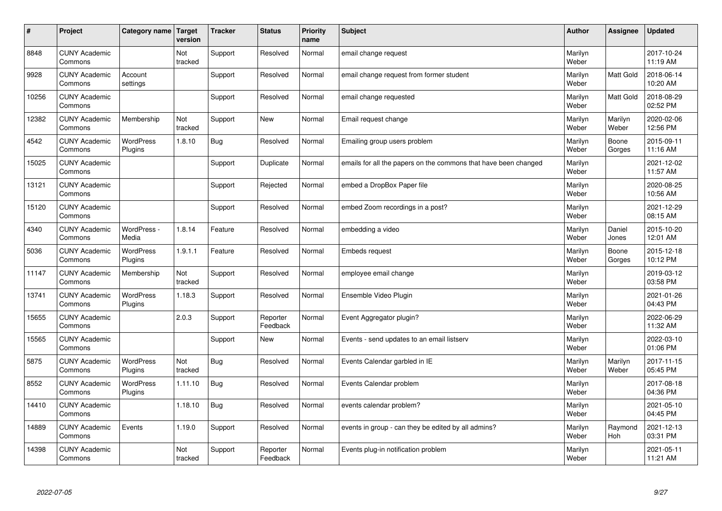| #     | Project                         | Category name   Target | version        | <b>Tracker</b> | <b>Status</b>        | <b>Priority</b><br>name | <b>Subject</b>                                                  | <b>Author</b>    | <b>Assignee</b>  | <b>Updated</b>         |
|-------|---------------------------------|------------------------|----------------|----------------|----------------------|-------------------------|-----------------------------------------------------------------|------------------|------------------|------------------------|
| 8848  | <b>CUNY Academic</b><br>Commons |                        | Not<br>tracked | Support        | Resolved             | Normal                  | email change request                                            | Marilyn<br>Weber |                  | 2017-10-24<br>11:19 AM |
| 9928  | <b>CUNY Academic</b><br>Commons | Account<br>settings    |                | Support        | Resolved             | Normal                  | email change request from former student                        | Marilyn<br>Weber | <b>Matt Gold</b> | 2018-06-14<br>10:20 AM |
| 10256 | <b>CUNY Academic</b><br>Commons |                        |                | Support        | Resolved             | Normal                  | email change requested                                          | Marilyn<br>Weber | Matt Gold        | 2018-08-29<br>02:52 PM |
| 12382 | <b>CUNY Academic</b><br>Commons | Membership             | Not<br>tracked | Support        | <b>New</b>           | Normal                  | Email request change                                            | Marilyn<br>Weber | Marilyn<br>Weber | 2020-02-06<br>12:56 PM |
| 4542  | <b>CUNY Academic</b><br>Commons | WordPress<br>Plugins   | 1.8.10         | Bug            | Resolved             | Normal                  | Emailing group users problem                                    | Marilyn<br>Weber | Boone<br>Gorges  | 2015-09-11<br>11:16 AM |
| 15025 | <b>CUNY Academic</b><br>Commons |                        |                | Support        | Duplicate            | Normal                  | emails for all the papers on the commons that have been changed | Marilyn<br>Weber |                  | 2021-12-02<br>11:57 AM |
| 13121 | <b>CUNY Academic</b><br>Commons |                        |                | Support        | Rejected             | Normal                  | embed a DropBox Paper file                                      | Marilyn<br>Weber |                  | 2020-08-25<br>10:56 AM |
| 15120 | <b>CUNY Academic</b><br>Commons |                        |                | Support        | Resolved             | Normal                  | embed Zoom recordings in a post?                                | Marilyn<br>Weber |                  | 2021-12-29<br>08:15 AM |
| 4340  | <b>CUNY Academic</b><br>Commons | WordPress -<br>Media   | 1.8.14         | Feature        | Resolved             | Normal                  | embedding a video                                               | Marilyn<br>Weber | Daniel<br>Jones  | 2015-10-20<br>12:01 AM |
| 5036  | <b>CUNY Academic</b><br>Commons | WordPress<br>Plugins   | 1.9.1.1        | Feature        | Resolved             | Normal                  | <b>Embeds request</b>                                           | Marilyn<br>Weber | Boone<br>Gorges  | 2015-12-18<br>10:12 PM |
| 11147 | <b>CUNY Academic</b><br>Commons | Membership             | Not<br>tracked | Support        | Resolved             | Normal                  | employee email change                                           | Marilyn<br>Weber |                  | 2019-03-12<br>03:58 PM |
| 13741 | <b>CUNY Academic</b><br>Commons | WordPress<br>Plugins   | 1.18.3         | Support        | Resolved             | Normal                  | Ensemble Video Plugin                                           | Marilyn<br>Weber |                  | 2021-01-26<br>04:43 PM |
| 15655 | <b>CUNY Academic</b><br>Commons |                        | 2.0.3          | Support        | Reporter<br>Feedback | Normal                  | Event Aggregator plugin?                                        | Marilyn<br>Weber |                  | 2022-06-29<br>11:32 AM |
| 15565 | <b>CUNY Academic</b><br>Commons |                        |                | Support        | <b>New</b>           | Normal                  | Events - send updates to an email listserv                      | Marilyn<br>Weber |                  | 2022-03-10<br>01:06 PM |
| 5875  | <b>CUNY Academic</b><br>Commons | WordPress<br>Plugins   | Not<br>tracked | <b>Bug</b>     | Resolved             | Normal                  | Events Calendar garbled in IE                                   | Marilyn<br>Weber | Marilyn<br>Weber | 2017-11-15<br>05:45 PM |
| 8552  | <b>CUNY Academic</b><br>Commons | WordPress<br>Plugins   | 1.11.10        | Bug            | Resolved             | Normal                  | Events Calendar problem                                         | Marilyn<br>Weber |                  | 2017-08-18<br>04:36 PM |
| 14410 | <b>CUNY Academic</b><br>Commons |                        | 1.18.10        | <b>Bug</b>     | Resolved             | Normal                  | events calendar problem?                                        | Marilyn<br>Weber |                  | 2021-05-10<br>04:45 PM |
| 14889 | <b>CUNY Academic</b><br>Commons | Events                 | 1.19.0         | Support        | Resolved             | Normal                  | events in group - can they be edited by all admins?             | Marilyn<br>Weber | Raymond<br>Hoh   | 2021-12-13<br>03:31 PM |
| 14398 | <b>CUNY Academic</b><br>Commons |                        | Not<br>tracked | Support        | Reporter<br>Feedback | Normal                  | Events plug-in notification problem                             | Marilyn<br>Weber |                  | 2021-05-11<br>11:21 AM |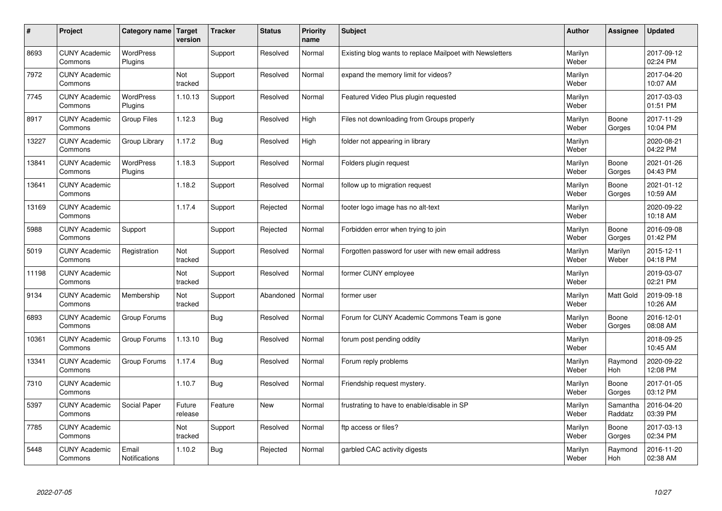| $\sharp$ | Project                         | Category name   Target        | version           | <b>Tracker</b> | <b>Status</b> | <b>Priority</b><br>name | <b>Subject</b>                                           | <b>Author</b>    | Assignee              | <b>Updated</b>         |
|----------|---------------------------------|-------------------------------|-------------------|----------------|---------------|-------------------------|----------------------------------------------------------|------------------|-----------------------|------------------------|
| 8693     | <b>CUNY Academic</b><br>Commons | <b>WordPress</b><br>Plugins   |                   | Support        | Resolved      | Normal                  | Existing blog wants to replace Mailpoet with Newsletters | Marilyn<br>Weber |                       | 2017-09-12<br>02:24 PM |
| 7972     | <b>CUNY Academic</b><br>Commons |                               | Not<br>tracked    | Support        | Resolved      | Normal                  | expand the memory limit for videos?                      | Marilyn<br>Weber |                       | 2017-04-20<br>10:07 AM |
| 7745     | <b>CUNY Academic</b><br>Commons | <b>WordPress</b><br>Plugins   | 1.10.13           | Support        | Resolved      | Normal                  | Featured Video Plus plugin requested                     | Marilyn<br>Weber |                       | 2017-03-03<br>01:51 PM |
| 8917     | <b>CUNY Academic</b><br>Commons | <b>Group Files</b>            | 1.12.3            | <b>Bug</b>     | Resolved      | High                    | Files not downloading from Groups properly               | Marilyn<br>Weber | Boone<br>Gorges       | 2017-11-29<br>10:04 PM |
| 13227    | <b>CUNY Academic</b><br>Commons | Group Library                 | 1.17.2            | Bug            | Resolved      | High                    | folder not appearing in library                          | Marilyn<br>Weber |                       | 2020-08-21<br>04:22 PM |
| 13841    | <b>CUNY Academic</b><br>Commons | <b>WordPress</b><br>Plugins   | 1.18.3            | Support        | Resolved      | Normal                  | Folders plugin request                                   | Marilyn<br>Weber | Boone<br>Gorges       | 2021-01-26<br>04:43 PM |
| 13641    | <b>CUNY Academic</b><br>Commons |                               | 1.18.2            | Support        | Resolved      | Normal                  | follow up to migration request                           | Marilyn<br>Weber | Boone<br>Gorges       | 2021-01-12<br>10:59 AM |
| 13169    | <b>CUNY Academic</b><br>Commons |                               | 1.17.4            | Support        | Rejected      | Normal                  | footer logo image has no alt-text                        | Marilyn<br>Weber |                       | 2020-09-22<br>10:18 AM |
| 5988     | <b>CUNY Academic</b><br>Commons | Support                       |                   | Support        | Rejected      | Normal                  | Forbidden error when trying to join                      | Marilyn<br>Weber | Boone<br>Gorges       | 2016-09-08<br>01:42 PM |
| 5019     | <b>CUNY Academic</b><br>Commons | Registration                  | Not<br>tracked    | Support        | Resolved      | Normal                  | Forgotten password for user with new email address       | Marilyn<br>Weber | Marilyn<br>Weber      | 2015-12-11<br>04:18 PM |
| 11198    | <b>CUNY Academic</b><br>Commons |                               | Not<br>tracked    | Support        | Resolved      | Normal                  | former CUNY employee                                     | Marilyn<br>Weber |                       | 2019-03-07<br>02:21 PM |
| 9134     | <b>CUNY Academic</b><br>Commons | Membership                    | Not<br>tracked    | Support        | Abandoned     | Normal                  | former user                                              | Marilyn<br>Weber | Matt Gold             | 2019-09-18<br>10:26 AM |
| 6893     | <b>CUNY Academic</b><br>Commons | Group Forums                  |                   | Bug            | Resolved      | Normal                  | Forum for CUNY Academic Commons Team is gone             | Marilyn<br>Weber | Boone<br>Gorges       | 2016-12-01<br>08:08 AM |
| 10361    | <b>CUNY Academic</b><br>Commons | Group Forums                  | 1.13.10           | Bug            | Resolved      | Normal                  | forum post pending oddity                                | Marilyn<br>Weber |                       | 2018-09-25<br>10:45 AM |
| 13341    | <b>CUNY Academic</b><br>Commons | Group Forums                  | 1.17.4            | Bug            | Resolved      | Normal                  | Forum reply problems                                     | Marilyn<br>Weber | Raymond<br><b>Hoh</b> | 2020-09-22<br>12:08 PM |
| 7310     | <b>CUNY Academic</b><br>Commons |                               | 1.10.7            | Bug            | Resolved      | Normal                  | Friendship request mystery.                              | Marilyn<br>Weber | Boone<br>Gorges       | 2017-01-05<br>03:12 PM |
| 5397     | <b>CUNY Academic</b><br>Commons | Social Paper                  | Future<br>release | Feature        | <b>New</b>    | Normal                  | frustrating to have to enable/disable in SP              | Marilyn<br>Weber | Samantha<br>Raddatz   | 2016-04-20<br>03:39 PM |
| 7785     | <b>CUNY Academic</b><br>Commons |                               | Not<br>tracked    | Support        | Resolved      | Normal                  | ftp access or files?                                     | Marilyn<br>Weber | Boone<br>Gorges       | 2017-03-13<br>02:34 PM |
| 5448     | <b>CUNY Academic</b><br>Commons | Email<br><b>Notifications</b> | 1.10.2            | Bug            | Rejected      | Normal                  | garbled CAC activity digests                             | Marilyn<br>Weber | Raymond<br>Hoh        | 2016-11-20<br>02:38 AM |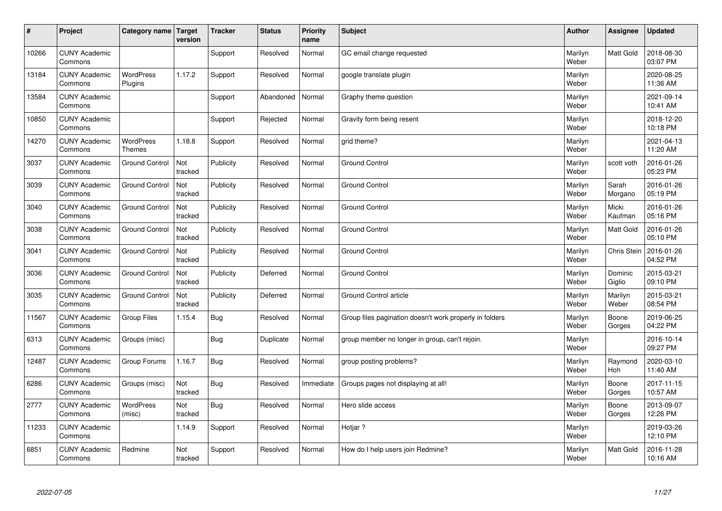| #     | Project                         | Category name   Target            | version        | <b>Tracker</b> | <b>Status</b> | <b>Priority</b><br>name | <b>Subject</b>                                          | <b>Author</b>    | Assignee              | <b>Updated</b>         |
|-------|---------------------------------|-----------------------------------|----------------|----------------|---------------|-------------------------|---------------------------------------------------------|------------------|-----------------------|------------------------|
| 10266 | <b>CUNY Academic</b><br>Commons |                                   |                | Support        | Resolved      | Normal                  | GC email change requested                               | Marilyn<br>Weber | Matt Gold             | 2018-08-30<br>03:07 PM |
| 13184 | <b>CUNY Academic</b><br>Commons | <b>WordPress</b><br>Plugins       | 1.17.2         | Support        | Resolved      | Normal                  | google translate plugin                                 | Marilyn<br>Weber |                       | 2020-08-25<br>11:36 AM |
| 13584 | <b>CUNY Academic</b><br>Commons |                                   |                | Support        | Abandoned     | Normal                  | Graphy theme question                                   | Marilyn<br>Weber |                       | 2021-09-14<br>10:41 AM |
| 10850 | <b>CUNY Academic</b><br>Commons |                                   |                | Support        | Rejected      | Normal                  | Gravity form being resent                               | Marilyn<br>Weber |                       | 2018-12-20<br>10:18 PM |
| 14270 | <b>CUNY Academic</b><br>Commons | <b>WordPress</b><br><b>Themes</b> | 1.18.8         | Support        | Resolved      | Normal                  | grid theme?                                             | Marilyn<br>Weber |                       | 2021-04-13<br>11:20 AM |
| 3037  | <b>CUNY Academic</b><br>Commons | <b>Ground Control</b>             | Not<br>tracked | Publicity      | Resolved      | Normal                  | <b>Ground Control</b>                                   | Marilyn<br>Weber | scott voth            | 2016-01-26<br>05:23 PM |
| 3039  | <b>CUNY Academic</b><br>Commons | <b>Ground Control</b>             | Not<br>tracked | Publicity      | Resolved      | Normal                  | <b>Ground Control</b>                                   | Marilyn<br>Weber | Sarah<br>Morgano      | 2016-01-26<br>05:19 PM |
| 3040  | <b>CUNY Academic</b><br>Commons | <b>Ground Control</b>             | Not<br>tracked | Publicity      | Resolved      | Normal                  | <b>Ground Control</b>                                   | Marilyn<br>Weber | Micki<br>Kaufman      | 2016-01-26<br>05:16 PM |
| 3038  | <b>CUNY Academic</b><br>Commons | <b>Ground Control</b>             | Not<br>tracked | Publicity      | Resolved      | Normal                  | <b>Ground Control</b>                                   | Marilyn<br>Weber | <b>Matt Gold</b>      | 2016-01-26<br>05:10 PM |
| 3041  | <b>CUNY Academic</b><br>Commons | <b>Ground Control</b>             | Not<br>tracked | Publicity      | Resolved      | Normal                  | <b>Ground Control</b>                                   | Marilyn<br>Weber | <b>Chris Stein</b>    | 2016-01-26<br>04:52 PM |
| 3036  | <b>CUNY Academic</b><br>Commons | <b>Ground Control</b>             | Not<br>tracked | Publicity      | Deferred      | Normal                  | Ground Control                                          | Marilyn<br>Weber | Dominic<br>Giglio     | 2015-03-21<br>09:10 PM |
| 3035  | <b>CUNY Academic</b><br>Commons | <b>Ground Control</b>             | Not<br>tracked | Publicity      | Deferred      | Normal                  | Ground Control article                                  | Marilyn<br>Weber | Marilyn<br>Weber      | 2015-03-21<br>08:54 PM |
| 11567 | <b>CUNY Academic</b><br>Commons | <b>Group Files</b>                | 1.15.4         | Bug            | Resolved      | Normal                  | Group files pagination doesn't work properly in folders | Marilyn<br>Weber | Boone<br>Gorges       | 2019-06-25<br>04:22 PM |
| 6313  | <b>CUNY Academic</b><br>Commons | Groups (misc)                     |                | Bug            | Duplicate     | Normal                  | group member no longer in group, can't rejoin.          | Marilyn<br>Weber |                       | 2016-10-14<br>09:27 PM |
| 12487 | <b>CUNY Academic</b><br>Commons | Group Forums                      | 1.16.7         | Bug            | Resolved      | Normal                  | group posting problems?                                 | Marilyn<br>Weber | Raymond<br><b>Hoh</b> | 2020-03-10<br>11:40 AM |
| 6286  | <b>CUNY Academic</b><br>Commons | Groups (misc)                     | Not<br>tracked | Bug            | Resolved      | Immediate               | Groups pages not displaying at all!                     | Marilyn<br>Weber | Boone<br>Gorges       | 2017-11-15<br>10:57 AM |
| 2777  | <b>CUNY Academic</b><br>Commons | WordPress<br>(misc)               | Not<br>tracked | Bug            | Resolved      | Normal                  | Hero slide access                                       | Marilyn<br>Weber | Boone<br>Gorges       | 2013-09-07<br>12:26 PM |
| 11233 | <b>CUNY Academic</b><br>Commons |                                   | 1.14.9         | Support        | Resolved      | Normal                  | Hotjar ?                                                | Marilyn<br>Weber |                       | 2019-03-26<br>12:10 PM |
| 6851  | <b>CUNY Academic</b><br>Commons | Redmine                           | Not<br>tracked | Support        | Resolved      | Normal                  | How do I help users join Redmine?                       | Marilyn<br>Weber | <b>Matt Gold</b>      | 2016-11-28<br>10:16 AM |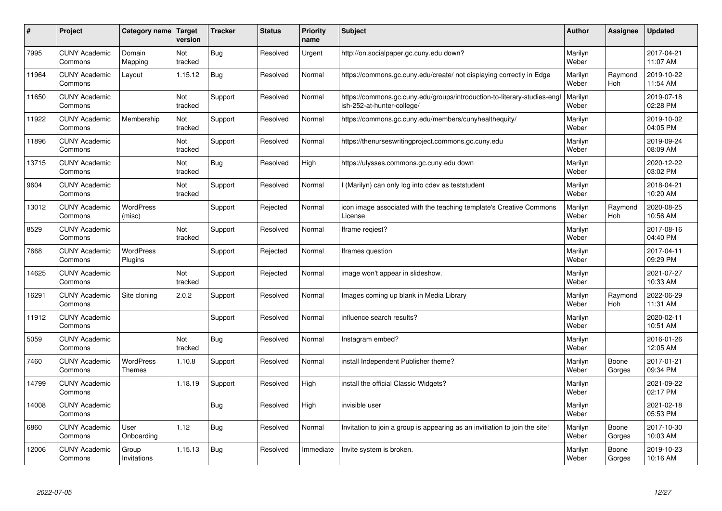| #     | Project                         | Category name   Target            | version        | <b>Tracker</b> | <b>Status</b> | <b>Priority</b><br>name | <b>Subject</b>                                                                                        | <b>Author</b>    | <b>Assignee</b>       | <b>Updated</b>         |
|-------|---------------------------------|-----------------------------------|----------------|----------------|---------------|-------------------------|-------------------------------------------------------------------------------------------------------|------------------|-----------------------|------------------------|
| 7995  | <b>CUNY Academic</b><br>Commons | Domain<br>Mapping                 | Not<br>tracked | Bug            | Resolved      | Urgent                  | http://on.socialpaper.gc.cuny.edu down?                                                               | Marilyn<br>Weber |                       | 2017-04-21<br>11:07 AM |
| 11964 | <b>CUNY Academic</b><br>Commons | Layout                            | 1.15.12        | Bug            | Resolved      | Normal                  | https://commons.gc.cuny.edu/create/ not displaying correctly in Edge                                  | Marilyn<br>Weber | Raymond<br>Hoh        | 2019-10-22<br>11:54 AM |
| 11650 | <b>CUNY Academic</b><br>Commons |                                   | Not<br>tracked | Support        | Resolved      | Normal                  | https://commons.gc.cuny.edu/groups/introduction-to-literary-studies-eng<br>ish-252-at-hunter-college/ | Marilyn<br>Weber |                       | 2019-07-18<br>02:28 PM |
| 11922 | <b>CUNY Academic</b><br>Commons | Membership                        | Not<br>tracked | Support        | Resolved      | Normal                  | https://commons.gc.cuny.edu/members/cunyhealthequity/                                                 | Marilyn<br>Weber |                       | 2019-10-02<br>04:05 PM |
| 11896 | <b>CUNY Academic</b><br>Commons |                                   | Not<br>tracked | Support        | Resolved      | Normal                  | https://thenurseswritingproject.commons.gc.cuny.edu                                                   | Marilyn<br>Weber |                       | 2019-09-24<br>08:09 AM |
| 13715 | <b>CUNY Academic</b><br>Commons |                                   | Not<br>tracked | Bug            | Resolved      | High                    | https://ulysses.commons.gc.cuny.edu down                                                              | Marilyn<br>Weber |                       | 2020-12-22<br>03:02 PM |
| 9604  | <b>CUNY Academic</b><br>Commons |                                   | Not<br>tracked | Support        | Resolved      | Normal                  | I (Marilyn) can only log into cdev as teststudent                                                     | Marilyn<br>Weber |                       | 2018-04-21<br>10:20 AM |
| 13012 | <b>CUNY Academic</b><br>Commons | WordPress<br>(misc)               |                | Support        | Rejected      | Normal                  | icon image associated with the teaching template's Creative Commons<br>License                        | Marilyn<br>Weber | Raymond<br><b>Hoh</b> | 2020-08-25<br>10:56 AM |
| 8529  | <b>CUNY Academic</b><br>Commons |                                   | Not<br>tracked | Support        | Resolved      | Normal                  | Iframe regiest?                                                                                       | Marilyn<br>Weber |                       | 2017-08-16<br>04:40 PM |
| 7668  | <b>CUNY Academic</b><br>Commons | <b>WordPress</b><br>Plugins       |                | Support        | Rejected      | Normal                  | Iframes question                                                                                      | Marilyn<br>Weber |                       | 2017-04-11<br>09:29 PM |
| 14625 | <b>CUNY Academic</b><br>Commons |                                   | Not<br>tracked | Support        | Rejected      | Normal                  | image won't appear in slideshow.                                                                      | Marilyn<br>Weber |                       | 2021-07-27<br>10:33 AM |
| 16291 | <b>CUNY Academic</b><br>Commons | Site cloning                      | 2.0.2          | Support        | Resolved      | Normal                  | Images coming up blank in Media Library                                                               | Marilyn<br>Weber | Raymond<br><b>Hoh</b> | 2022-06-29<br>11:31 AM |
| 11912 | <b>CUNY Academic</b><br>Commons |                                   |                | Support        | Resolved      | Normal                  | influence search results?                                                                             | Marilyn<br>Weber |                       | 2020-02-11<br>10:51 AM |
| 5059  | <b>CUNY Academic</b><br>Commons |                                   | Not<br>tracked | Bug            | Resolved      | Normal                  | Instagram embed?                                                                                      | Marilyn<br>Weber |                       | 2016-01-26<br>12:05 AM |
| 7460  | <b>CUNY Academic</b><br>Commons | <b>WordPress</b><br><b>Themes</b> | 1.10.8         | Support        | Resolved      | Normal                  | install Independent Publisher theme?                                                                  | Marilyn<br>Weber | Boone<br>Gorges       | 2017-01-21<br>09:34 PM |
| 14799 | <b>CUNY Academic</b><br>Commons |                                   | 1.18.19        | Support        | Resolved      | High                    | install the official Classic Widgets?                                                                 | Marilyn<br>Weber |                       | 2021-09-22<br>02:17 PM |
| 14008 | <b>CUNY Academic</b><br>Commons |                                   |                | Bug            | Resolved      | High                    | invisible user                                                                                        | Marilyn<br>Weber |                       | 2021-02-18<br>05:53 PM |
| 6860  | <b>CUNY Academic</b><br>Commons | User<br>Onboarding                | 1.12           | Bug            | Resolved      | Normal                  | Invitation to join a group is appearing as an invitiation to join the site!                           | Marilyn<br>Weber | Boone<br>Gorges       | 2017-10-30<br>10:03 AM |
| 12006 | <b>CUNY Academic</b><br>Commons | Group<br>Invitations              | 1.15.13        | Bug            | Resolved      | Immediate               | Invite system is broken.                                                                              | Marilyn<br>Weber | Boone<br>Gorges       | 2019-10-23<br>10:16 AM |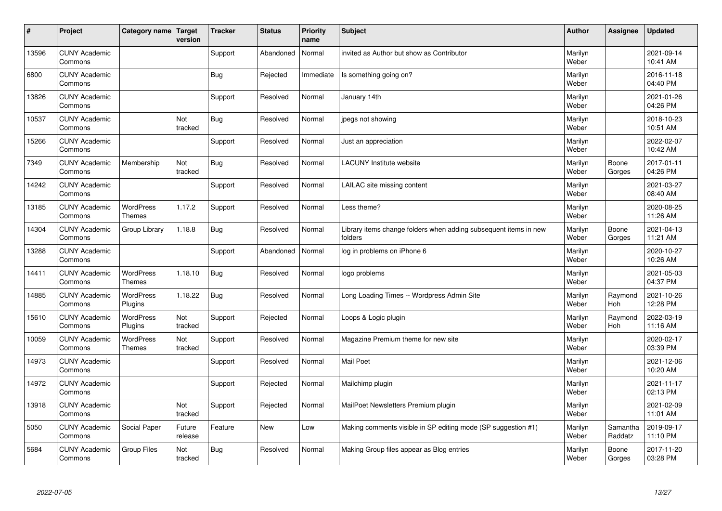| $\sharp$ | Project                         | Category name   Target            | version           | <b>Tracker</b> | <b>Status</b> | <b>Priority</b><br>name | <b>Subject</b>                                                              | <b>Author</b>    | Assignee              | <b>Updated</b>         |
|----------|---------------------------------|-----------------------------------|-------------------|----------------|---------------|-------------------------|-----------------------------------------------------------------------------|------------------|-----------------------|------------------------|
| 13596    | <b>CUNY Academic</b><br>Commons |                                   |                   | Support        | Abandoned     | Normal                  | invited as Author but show as Contributor                                   | Marilyn<br>Weber |                       | 2021-09-14<br>10:41 AM |
| 6800     | <b>CUNY Academic</b><br>Commons |                                   |                   | Bug            | Rejected      | Immediate               | Is something going on?                                                      | Marilyn<br>Weber |                       | 2016-11-18<br>04:40 PM |
| 13826    | <b>CUNY Academic</b><br>Commons |                                   |                   | Support        | Resolved      | Normal                  | January 14th                                                                | Marilyn<br>Weber |                       | 2021-01-26<br>04:26 PM |
| 10537    | <b>CUNY Academic</b><br>Commons |                                   | Not<br>tracked    | <b>Bug</b>     | Resolved      | Normal                  | jpegs not showing                                                           | Marilyn<br>Weber |                       | 2018-10-23<br>10:51 AM |
| 15266    | <b>CUNY Academic</b><br>Commons |                                   |                   | Support        | Resolved      | Normal                  | Just an appreciation                                                        | Marilyn<br>Weber |                       | 2022-02-07<br>10:42 AM |
| 7349     | <b>CUNY Academic</b><br>Commons | Membership                        | Not<br>tracked    | Bug            | Resolved      | Normal                  | <b>LACUNY Institute website</b>                                             | Marilyn<br>Weber | Boone<br>Gorges       | 2017-01-11<br>04:26 PM |
| 14242    | <b>CUNY Academic</b><br>Commons |                                   |                   | Support        | Resolved      | Normal                  | LAILAC site missing content                                                 | Marilyn<br>Weber |                       | 2021-03-27<br>08:40 AM |
| 13185    | <b>CUNY Academic</b><br>Commons | WordPress<br><b>Themes</b>        | 1.17.2            | Support        | Resolved      | Normal                  | Less theme?                                                                 | Marilyn<br>Weber |                       | 2020-08-25<br>11:26 AM |
| 14304    | <b>CUNY Academic</b><br>Commons | Group Library                     | 1.18.8            | Bug            | Resolved      | Normal                  | Library items change folders when adding subsequent items in new<br>folders | Marilyn<br>Weber | Boone<br>Gorges       | 2021-04-13<br>11:21 AM |
| 13288    | <b>CUNY Academic</b><br>Commons |                                   |                   | Support        | Abandoned     | Normal                  | log in problems on iPhone 6                                                 | Marilyn<br>Weber |                       | 2020-10-27<br>10:26 AM |
| 14411    | <b>CUNY Academic</b><br>Commons | <b>WordPress</b><br><b>Themes</b> | 1.18.10           | Bug            | Resolved      | Normal                  | logo problems                                                               | Marilyn<br>Weber |                       | 2021-05-03<br>04:37 PM |
| 14885    | <b>CUNY Academic</b><br>Commons | <b>WordPress</b><br>Plugins       | 1.18.22           | <b>Bug</b>     | Resolved      | Normal                  | Long Loading Times -- Wordpress Admin Site                                  | Marilyn<br>Weber | Raymond<br><b>Hoh</b> | 2021-10-26<br>12:28 PM |
| 15610    | <b>CUNY Academic</b><br>Commons | <b>WordPress</b><br>Plugins       | Not<br>tracked    | Support        | Rejected      | Normal                  | Loops & Logic plugin                                                        | Marilyn<br>Weber | Raymond<br>Hoh        | 2022-03-19<br>11:16 AM |
| 10059    | <b>CUNY Academic</b><br>Commons | <b>WordPress</b><br><b>Themes</b> | Not<br>tracked    | Support        | Resolved      | Normal                  | Magazine Premium theme for new site                                         | Marilyn<br>Weber |                       | 2020-02-17<br>03:39 PM |
| 14973    | <b>CUNY Academic</b><br>Commons |                                   |                   | Support        | Resolved      | Normal                  | <b>Mail Poet</b>                                                            | Marilyn<br>Weber |                       | 2021-12-06<br>10:20 AM |
| 14972    | <b>CUNY Academic</b><br>Commons |                                   |                   | Support        | Rejected      | Normal                  | Mailchimp plugin                                                            | Marilyn<br>Weber |                       | 2021-11-17<br>02:13 PM |
| 13918    | <b>CUNY Academic</b><br>Commons |                                   | Not<br>tracked    | Support        | Rejected      | Normal                  | MailPoet Newsletters Premium plugin                                         | Marilyn<br>Weber |                       | 2021-02-09<br>11:01 AM |
| 5050     | <b>CUNY Academic</b><br>Commons | Social Paper                      | Future<br>release | Feature        | New           | Low                     | Making comments visible in SP editing mode (SP suggestion #1)               | Marilyn<br>Weber | Samantha<br>Raddatz   | 2019-09-17<br>11:10 PM |
| 5684     | <b>CUNY Academic</b><br>Commons | <b>Group Files</b>                | Not<br>tracked    | Bug            | Resolved      | Normal                  | Making Group files appear as Blog entries                                   | Marilyn<br>Weber | Boone<br>Gorges       | 2017-11-20<br>03:28 PM |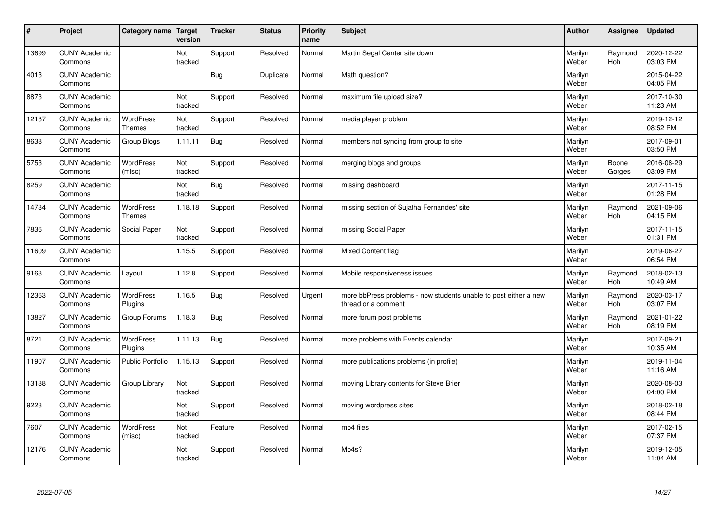| $\sharp$ | Project                         | Category name   Target            | version        | <b>Tracker</b> | <b>Status</b> | <b>Priority</b><br>name | <b>Subject</b>                                                                          | <b>Author</b>    | Assignee              | <b>Updated</b>         |
|----------|---------------------------------|-----------------------------------|----------------|----------------|---------------|-------------------------|-----------------------------------------------------------------------------------------|------------------|-----------------------|------------------------|
| 13699    | <b>CUNY Academic</b><br>Commons |                                   | Not<br>tracked | Support        | Resolved      | Normal                  | Martin Segal Center site down                                                           | Marilyn<br>Weber | Raymond<br><b>Hoh</b> | 2020-12-22<br>03:03 PM |
| 4013     | <b>CUNY Academic</b><br>Commons |                                   |                | Bug            | Duplicate     | Normal                  | Math question?                                                                          | Marilyn<br>Weber |                       | 2015-04-22<br>04:05 PM |
| 8873     | <b>CUNY Academic</b><br>Commons |                                   | Not<br>tracked | Support        | Resolved      | Normal                  | maximum file upload size?                                                               | Marilyn<br>Weber |                       | 2017-10-30<br>11:23 AM |
| 12137    | <b>CUNY Academic</b><br>Commons | <b>WordPress</b><br><b>Themes</b> | Not<br>tracked | Support        | Resolved      | Normal                  | media player problem                                                                    | Marilyn<br>Weber |                       | 2019-12-12<br>08:52 PM |
| 8638     | <b>CUNY Academic</b><br>Commons | Group Blogs                       | 1.11.11        | Bug            | Resolved      | Normal                  | members not syncing from group to site                                                  | Marilyn<br>Weber |                       | 2017-09-01<br>03:50 PM |
| 5753     | <b>CUNY Academic</b><br>Commons | <b>WordPress</b><br>(misc)        | Not<br>tracked | Support        | Resolved      | Normal                  | merging blogs and groups                                                                | Marilyn<br>Weber | Boone<br>Gorges       | 2016-08-29<br>03:09 PM |
| 8259     | <b>CUNY Academic</b><br>Commons |                                   | Not<br>tracked | Bug            | Resolved      | Normal                  | missing dashboard                                                                       | Marilyn<br>Weber |                       | 2017-11-15<br>01:28 PM |
| 14734    | <b>CUNY Academic</b><br>Commons | WordPress<br><b>Themes</b>        | 1.18.18        | Support        | Resolved      | Normal                  | missing section of Sujatha Fernandes' site                                              | Marilyn<br>Weber | Raymond<br>Hoh        | 2021-09-06<br>04:15 PM |
| 7836     | <b>CUNY Academic</b><br>Commons | Social Paper                      | Not<br>tracked | Support        | Resolved      | Normal                  | missing Social Paper                                                                    | Marilyn<br>Weber |                       | 2017-11-15<br>01:31 PM |
| 11609    | <b>CUNY Academic</b><br>Commons |                                   | 1.15.5         | Support        | Resolved      | Normal                  | <b>Mixed Content flag</b>                                                               | Marilyn<br>Weber |                       | 2019-06-27<br>06:54 PM |
| 9163     | <b>CUNY Academic</b><br>Commons | Layout                            | 1.12.8         | Support        | Resolved      | Normal                  | Mobile responsiveness issues                                                            | Marilyn<br>Weber | Raymond<br><b>Hoh</b> | 2018-02-13<br>10:49 AM |
| 12363    | <b>CUNY Academic</b><br>Commons | <b>WordPress</b><br>Plugins       | 1.16.5         | Bug            | Resolved      | Urgent                  | more bbPress problems - now students unable to post either a new<br>thread or a comment | Marilyn<br>Weber | Raymond<br><b>Hoh</b> | 2020-03-17<br>03:07 PM |
| 13827    | <b>CUNY Academic</b><br>Commons | Group Forums                      | 1.18.3         | Bug            | Resolved      | Normal                  | more forum post problems                                                                | Marilyn<br>Weber | Raymond<br>Hoh        | 2021-01-22<br>08:19 PM |
| 8721     | <b>CUNY Academic</b><br>Commons | WordPress<br>Plugins              | 1.11.13        | Bug            | Resolved      | Normal                  | more problems with Events calendar                                                      | Marilyn<br>Weber |                       | 2017-09-21<br>10:35 AM |
| 11907    | <b>CUNY Academic</b><br>Commons | <b>Public Portfolio</b>           | 1.15.13        | Support        | Resolved      | Normal                  | more publications problems (in profile)                                                 | Marilyn<br>Weber |                       | 2019-11-04<br>11:16 AM |
| 13138    | <b>CUNY Academic</b><br>Commons | Group Library                     | Not<br>tracked | Support        | Resolved      | Normal                  | moving Library contents for Steve Brier                                                 | Marilyn<br>Weber |                       | 2020-08-03<br>04:00 PM |
| 9223     | <b>CUNY Academic</b><br>Commons |                                   | Not<br>tracked | Support        | Resolved      | Normal                  | moving wordpress sites                                                                  | Marilyn<br>Weber |                       | 2018-02-18<br>08:44 PM |
| 7607     | <b>CUNY Academic</b><br>Commons | <b>WordPress</b><br>(misc)        | Not<br>tracked | Feature        | Resolved      | Normal                  | mp4 files                                                                               | Marilyn<br>Weber |                       | 2017-02-15<br>07:37 PM |
| 12176    | <b>CUNY Academic</b><br>Commons |                                   | Not<br>tracked | Support        | Resolved      | Normal                  | Mp4s?                                                                                   | Marilyn<br>Weber |                       | 2019-12-05<br>11:04 AM |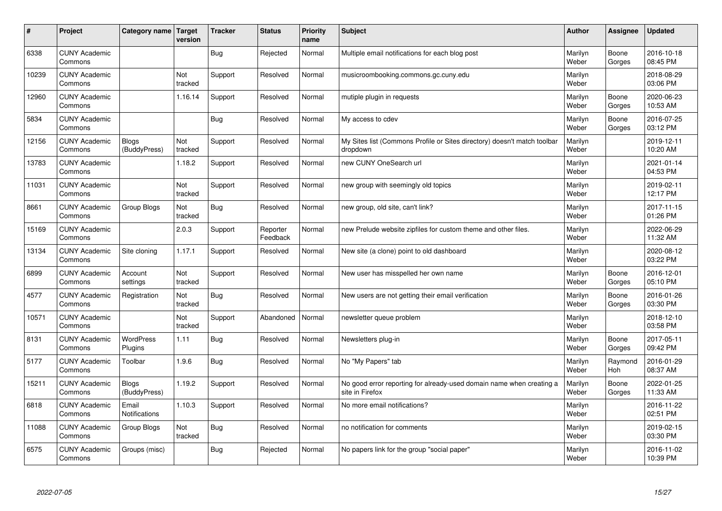| #     | Project                         | Category name   Target        | version        | <b>Tracker</b> | <b>Status</b>        | <b>Priority</b><br>name | <b>Subject</b>                                                                          | <b>Author</b>    | Assignee        | <b>Updated</b>         |
|-------|---------------------------------|-------------------------------|----------------|----------------|----------------------|-------------------------|-----------------------------------------------------------------------------------------|------------------|-----------------|------------------------|
| 6338  | <b>CUNY Academic</b><br>Commons |                               |                | Bug            | Rejected             | Normal                  | Multiple email notifications for each blog post                                         | Marilyn<br>Weber | Boone<br>Gorges | 2016-10-18<br>08:45 PM |
| 10239 | <b>CUNY Academic</b><br>Commons |                               | Not<br>tracked | Support        | Resolved             | Normal                  | musicroombooking.commons.gc.cuny.edu                                                    | Marilyn<br>Weber |                 | 2018-08-29<br>03:06 PM |
| 12960 | <b>CUNY Academic</b><br>Commons |                               | 1.16.14        | Support        | Resolved             | Normal                  | mutiple plugin in requests                                                              | Marilyn<br>Weber | Boone<br>Gorges | 2020-06-23<br>10:53 AM |
| 5834  | <b>CUNY Academic</b><br>Commons |                               |                | Bug            | Resolved             | Normal                  | My access to cdev                                                                       | Marilyn<br>Weber | Boone<br>Gorges | 2016-07-25<br>03:12 PM |
| 12156 | <b>CUNY Academic</b><br>Commons | <b>Blogs</b><br>(BuddyPress)  | Not<br>tracked | Support        | Resolved             | Normal                  | My Sites list (Commons Profile or Sites directory) doesn't match toolbar<br>dropdown    | Marilyn<br>Weber |                 | 2019-12-11<br>10:20 AM |
| 13783 | <b>CUNY Academic</b><br>Commons |                               | 1.18.2         | Support        | Resolved             | Normal                  | new CUNY OneSearch url                                                                  | Marilyn<br>Weber |                 | 2021-01-14<br>04:53 PM |
| 11031 | <b>CUNY Academic</b><br>Commons |                               | Not<br>tracked | Support        | Resolved             | Normal                  | new group with seemingly old topics                                                     | Marilyn<br>Weber |                 | 2019-02-11<br>12:17 PM |
| 8661  | <b>CUNY Academic</b><br>Commons | Group Blogs                   | Not<br>tracked | Bug            | Resolved             | Normal                  | new group, old site, can't link?                                                        | Marilyn<br>Weber |                 | 2017-11-15<br>01:26 PM |
| 15169 | <b>CUNY Academic</b><br>Commons |                               | 2.0.3          | Support        | Reporter<br>Feedback | Normal                  | new Prelude website zipfiles for custom theme and other files.                          | Marilyn<br>Weber |                 | 2022-06-29<br>11:32 AM |
| 13134 | <b>CUNY Academic</b><br>Commons | Site cloning                  | 1.17.1         | Support        | Resolved             | Normal                  | New site (a clone) point to old dashboard                                               | Marilyn<br>Weber |                 | 2020-08-12<br>03:22 PM |
| 6899  | <b>CUNY Academic</b><br>Commons | Account<br>settings           | Not<br>tracked | Support        | Resolved             | Normal                  | New user has misspelled her own name                                                    | Marilyn<br>Weber | Boone<br>Gorges | 2016-12-01<br>05:10 PM |
| 4577  | <b>CUNY Academic</b><br>Commons | Registration                  | Not<br>tracked | Bug            | Resolved             | Normal                  | New users are not getting their email verification                                      | Marilyn<br>Weber | Boone<br>Gorges | 2016-01-26<br>03:30 PM |
| 10571 | <b>CUNY Academic</b><br>Commons |                               | Not<br>tracked | Support        | Abandoned            | Normal                  | newsletter queue problem                                                                | Marilyn<br>Weber |                 | 2018-12-10<br>03:58 PM |
| 8131  | <b>CUNY Academic</b><br>Commons | <b>WordPress</b><br>Plugins   | 1.11           | Bug            | Resolved             | Normal                  | Newsletters plug-in                                                                     | Marilyn<br>Weber | Boone<br>Gorges | 2017-05-11<br>09:42 PM |
| 5177  | <b>CUNY Academic</b><br>Commons | Toolbar                       | 1.9.6          | Bug            | Resolved             | Normal                  | No "My Papers" tab                                                                      | Marilyn<br>Weber | Raymond<br>Hoh  | 2016-01-29<br>08:37 AM |
| 15211 | <b>CUNY Academic</b><br>Commons | <b>Blogs</b><br>(BuddyPress)  | 1.19.2         | Support        | Resolved             | Normal                  | No good error reporting for already-used domain name when creating a<br>site in Firefox | Marilyn<br>Weber | Boone<br>Gorges | 2022-01-25<br>11:33 AM |
| 6818  | <b>CUNY Academic</b><br>Commons | Email<br><b>Notifications</b> | 1.10.3         | Support        | Resolved             | Normal                  | No more email notifications?                                                            | Marilyn<br>Weber |                 | 2016-11-22<br>02:51 PM |
| 11088 | <b>CUNY Academic</b><br>Commons | Group Blogs                   | Not<br>tracked | Bug            | Resolved             | Normal                  | no notification for comments                                                            | Marilyn<br>Weber |                 | 2019-02-15<br>03:30 PM |
| 6575  | <b>CUNY Academic</b><br>Commons | Groups (misc)                 |                | <b>Bug</b>     | Rejected             | Normal                  | No papers link for the group "social paper"                                             | Marilyn<br>Weber |                 | 2016-11-02<br>10:39 PM |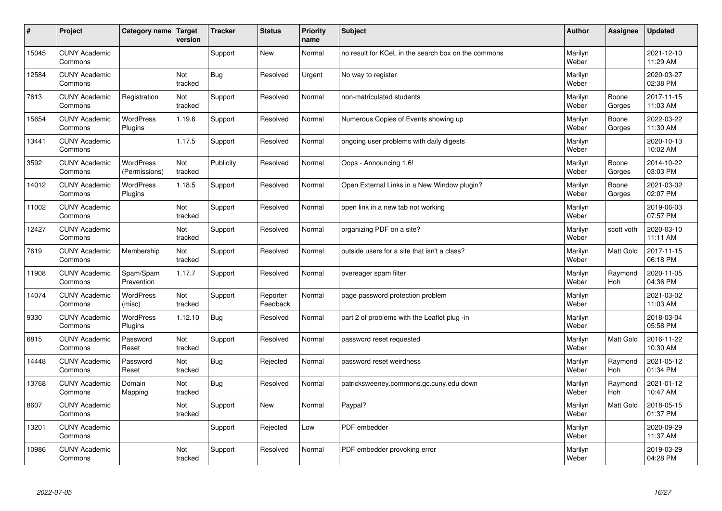| #     | Project                         | Category name   Target            | version        | <b>Tracker</b> | <b>Status</b>        | <b>Priority</b><br>name | <b>Subject</b>                                      | <b>Author</b>    | Assignee              | Updated                |
|-------|---------------------------------|-----------------------------------|----------------|----------------|----------------------|-------------------------|-----------------------------------------------------|------------------|-----------------------|------------------------|
| 15045 | <b>CUNY Academic</b><br>Commons |                                   |                | Support        | <b>New</b>           | Normal                  | no result for KCeL in the search box on the commons | Marilyn<br>Weber |                       | 2021-12-10<br>11:29 AM |
| 12584 | <b>CUNY Academic</b><br>Commons |                                   | Not<br>tracked | <b>Bug</b>     | Resolved             | Urgent                  | No way to register                                  | Marilyn<br>Weber |                       | 2020-03-27<br>02:38 PM |
| 7613  | <b>CUNY Academic</b><br>Commons | Registration                      | Not<br>tracked | Support        | Resolved             | Normal                  | non-matriculated students                           | Marilyn<br>Weber | Boone<br>Gorges       | 2017-11-15<br>11:03 AM |
| 15654 | <b>CUNY Academic</b><br>Commons | <b>WordPress</b><br>Plugins       | 1.19.6         | Support        | Resolved             | Normal                  | Numerous Copies of Events showing up                | Marilyn<br>Weber | Boone<br>Gorges       | 2022-03-22<br>11:30 AM |
| 13441 | <b>CUNY Academic</b><br>Commons |                                   | 1.17.5         | Support        | Resolved             | Normal                  | ongoing user problems with daily digests            | Marilyn<br>Weber |                       | 2020-10-13<br>10:02 AM |
| 3592  | <b>CUNY Academic</b><br>Commons | <b>WordPress</b><br>(Permissions) | Not<br>tracked | Publicity      | Resolved             | Normal                  | Oops - Announcing 1.6!                              | Marilyn<br>Weber | Boone<br>Gorges       | 2014-10-22<br>03:03 PM |
| 14012 | <b>CUNY Academic</b><br>Commons | <b>WordPress</b><br>Plugins       | 1.18.5         | Support        | Resolved             | Normal                  | Open External Links in a New Window plugin?         | Marilyn<br>Weber | Boone<br>Gorges       | 2021-03-02<br>02:07 PM |
| 11002 | <b>CUNY Academic</b><br>Commons |                                   | Not<br>tracked | Support        | Resolved             | Normal                  | open link in a new tab not working                  | Marilyn<br>Weber |                       | 2019-06-03<br>07:57 PM |
| 12427 | <b>CUNY Academic</b><br>Commons |                                   | Not<br>tracked | Support        | Resolved             | Normal                  | organizing PDF on a site?                           | Marilyn<br>Weber | scott voth            | 2020-03-10<br>11:11 AM |
| 7619  | <b>CUNY Academic</b><br>Commons | Membership                        | Not<br>tracked | Support        | Resolved             | Normal                  | outside users for a site that isn't a class?        | Marilyn<br>Weber | <b>Matt Gold</b>      | 2017-11-15<br>06:18 PM |
| 11908 | <b>CUNY Academic</b><br>Commons | Spam/Spam<br>Prevention           | 1.17.7         | Support        | Resolved             | Normal                  | overeager spam filter                               | Marilyn<br>Weber | Raymond<br><b>Hoh</b> | 2020-11-05<br>04:36 PM |
| 14074 | <b>CUNY Academic</b><br>Commons | <b>WordPress</b><br>(misc)        | Not<br>tracked | Support        | Reporter<br>Feedback | Normal                  | page password protection problem                    | Marilyn<br>Weber |                       | 2021-03-02<br>11:03 AM |
| 9330  | <b>CUNY Academic</b><br>Commons | <b>WordPress</b><br>Plugins       | 1.12.10        | Bug            | Resolved             | Normal                  | part 2 of problems with the Leaflet plug -in        | Marilyn<br>Weber |                       | 2018-03-04<br>05:58 PM |
| 6815  | <b>CUNY Academic</b><br>Commons | Password<br>Reset                 | Not<br>tracked | Support        | Resolved             | Normal                  | password reset requested                            | Marilyn<br>Weber | <b>Matt Gold</b>      | 2016-11-22<br>10:30 AM |
| 14448 | <b>CUNY Academic</b><br>Commons | Password<br>Reset                 | Not<br>tracked | Bug            | Rejected             | Normal                  | password reset weirdness                            | Marilyn<br>Weber | Raymond<br><b>Hoh</b> | 2021-05-12<br>01:34 PM |
| 13768 | <b>CUNY Academic</b><br>Commons | Domain<br>Mapping                 | Not<br>tracked | Bug            | Resolved             | Normal                  | patricksweeney.commons.gc.cuny.edu down             | Marilyn<br>Weber | Raymond<br>Hoh        | 2021-01-12<br>10:47 AM |
| 8607  | <b>CUNY Academic</b><br>Commons |                                   | Not<br>tracked | Support        | <b>New</b>           | Normal                  | Paypal?                                             | Marilyn<br>Weber | <b>Matt Gold</b>      | 2018-05-15<br>01:37 PM |
| 13201 | <b>CUNY Academic</b><br>Commons |                                   |                | Support        | Rejected             | Low                     | PDF embedder                                        | Marilyn<br>Weber |                       | 2020-09-29<br>11:37 AM |
| 10986 | <b>CUNY Academic</b><br>Commons |                                   | Not<br>tracked | Support        | Resolved             | Normal                  | PDF embedder provoking error                        | Marilyn<br>Weber |                       | 2019-03-29<br>04:28 PM |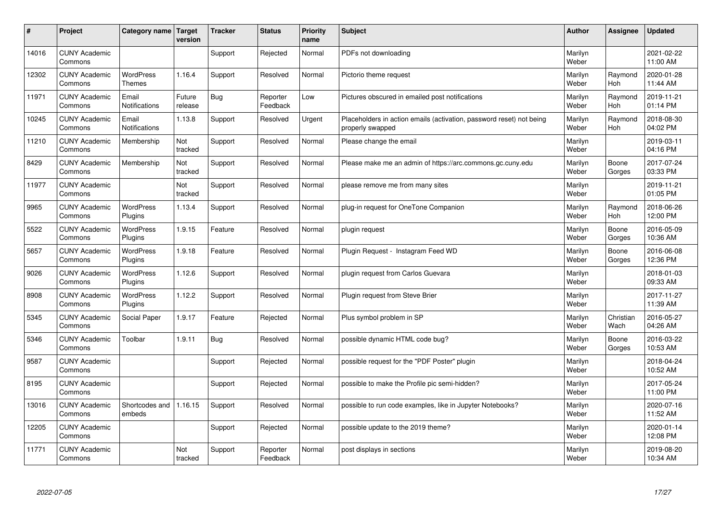| $\sharp$ | Project                         | Category name   Target            | version           | <b>Tracker</b> | <b>Status</b>        | <b>Priority</b><br>name | <b>Subject</b>                                                                           | <b>Author</b>    | Assignee              | <b>Updated</b>         |
|----------|---------------------------------|-----------------------------------|-------------------|----------------|----------------------|-------------------------|------------------------------------------------------------------------------------------|------------------|-----------------------|------------------------|
| 14016    | <b>CUNY Academic</b><br>Commons |                                   |                   | Support        | Rejected             | Normal                  | PDFs not downloading                                                                     | Marilyn<br>Weber |                       | 2021-02-22<br>11:00 AM |
| 12302    | <b>CUNY Academic</b><br>Commons | <b>WordPress</b><br><b>Themes</b> | 1.16.4            | Support        | Resolved             | Normal                  | Pictorio theme request                                                                   | Marilyn<br>Weber | Raymond<br><b>Hoh</b> | 2020-01-28<br>11:44 AM |
| 11971    | <b>CUNY Academic</b><br>Commons | Email<br>Notifications            | Future<br>release | Bug            | Reporter<br>Feedback | Low                     | Pictures obscured in emailed post notifications                                          | Marilyn<br>Weber | Raymond<br>Hoh        | 2019-11-21<br>01:14 PM |
| 10245    | <b>CUNY Academic</b><br>Commons | Email<br>Notifications            | 1.13.8            | Support        | Resolved             | Urgent                  | Placeholders in action emails (activation, password reset) not being<br>properly swapped | Marilyn<br>Weber | Raymond<br>Hoh        | 2018-08-30<br>04:02 PM |
| 11210    | <b>CUNY Academic</b><br>Commons | Membership                        | Not<br>tracked    | Support        | Resolved             | Normal                  | Please change the email                                                                  | Marilyn<br>Weber |                       | 2019-03-11<br>04:16 PM |
| 8429     | <b>CUNY Academic</b><br>Commons | Membership                        | Not<br>tracked    | Support        | Resolved             | Normal                  | Please make me an admin of https://arc.commons.gc.cuny.edu                               | Marilyn<br>Weber | Boone<br>Gorges       | 2017-07-24<br>03:33 PM |
| 11977    | <b>CUNY Academic</b><br>Commons |                                   | Not<br>tracked    | Support        | Resolved             | Normal                  | please remove me from many sites                                                         | Marilyn<br>Weber |                       | 2019-11-21<br>01:05 PM |
| 9965     | <b>CUNY Academic</b><br>Commons | WordPress<br>Plugins              | 1.13.4            | Support        | Resolved             | Normal                  | plug-in request for OneTone Companion                                                    | Marilyn<br>Weber | Raymond<br>Hoh        | 2018-06-26<br>12:00 PM |
| 5522     | <b>CUNY Academic</b><br>Commons | WordPress<br>Plugins              | 1.9.15            | Feature        | Resolved             | Normal                  | plugin request                                                                           | Marilyn<br>Weber | Boone<br>Gorges       | 2016-05-09<br>10:36 AM |
| 5657     | <b>CUNY Academic</b><br>Commons | WordPress<br>Plugins              | 1.9.18            | Feature        | Resolved             | Normal                  | Plugin Reguest - Instagram Feed WD                                                       | Marilyn<br>Weber | Boone<br>Gorges       | 2016-06-08<br>12:36 PM |
| 9026     | <b>CUNY Academic</b><br>Commons | <b>WordPress</b><br>Plugins       | 1.12.6            | Support        | Resolved             | Normal                  | plugin request from Carlos Guevara                                                       | Marilyn<br>Weber |                       | 2018-01-03<br>09:33 AM |
| 8908     | <b>CUNY Academic</b><br>Commons | <b>WordPress</b><br>Plugins       | 1.12.2            | Support        | Resolved             | Normal                  | Plugin request from Steve Brier                                                          | Marilyn<br>Weber |                       | 2017-11-27<br>11:39 AM |
| 5345     | <b>CUNY Academic</b><br>Commons | Social Paper                      | 1.9.17            | Feature        | Rejected             | Normal                  | Plus symbol problem in SP                                                                | Marilyn<br>Weber | Christian<br>Wach     | 2016-05-27<br>04:26 AM |
| 5346     | <b>CUNY Academic</b><br>Commons | Toolbar                           | 1.9.11            | <b>Bug</b>     | Resolved             | Normal                  | possible dynamic HTML code bug?                                                          | Marilyn<br>Weber | Boone<br>Gorges       | 2016-03-22<br>10:53 AM |
| 9587     | <b>CUNY Academic</b><br>Commons |                                   |                   | Support        | Rejected             | Normal                  | possible request for the "PDF Poster" plugin                                             | Marilyn<br>Weber |                       | 2018-04-24<br>10:52 AM |
| 8195     | <b>CUNY Academic</b><br>Commons |                                   |                   | Support        | Rejected             | Normal                  | possible to make the Profile pic semi-hidden?                                            | Marilyn<br>Weber |                       | 2017-05-24<br>11:00 PM |
| 13016    | <b>CUNY Academic</b><br>Commons | Shortcodes and<br>embeds          | 1.16.15           | Support        | Resolved             | Normal                  | possible to run code examples, like in Jupyter Notebooks?                                | Marilyn<br>Weber |                       | 2020-07-16<br>11:52 AM |
| 12205    | <b>CUNY Academic</b><br>Commons |                                   |                   | Support        | Rejected             | Normal                  | possible update to the 2019 theme?                                                       | Marilyn<br>Weber |                       | 2020-01-14<br>12:08 PM |
| 11771    | <b>CUNY Academic</b><br>Commons |                                   | Not<br>tracked    | Support        | Reporter<br>Feedback | Normal                  | post displays in sections                                                                | Marilyn<br>Weber |                       | 2019-08-20<br>10:34 AM |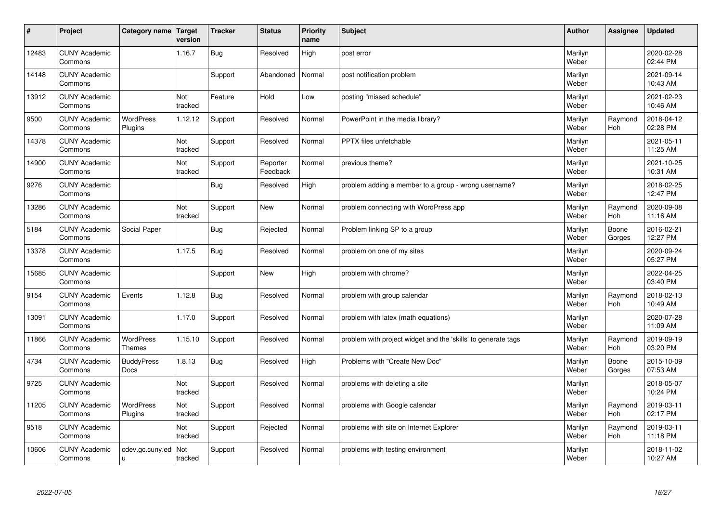| #     | Project                         | Category name   Target           | version               | <b>Tracker</b> | <b>Status</b>        | <b>Priority</b><br>name | <b>Subject</b>                                                | <b>Author</b>    | Assignee              | <b>Updated</b>         |
|-------|---------------------------------|----------------------------------|-----------------------|----------------|----------------------|-------------------------|---------------------------------------------------------------|------------------|-----------------------|------------------------|
| 12483 | <b>CUNY Academic</b><br>Commons |                                  | 1.16.7                | <b>Bug</b>     | Resolved             | High                    | post error                                                    | Marilyn<br>Weber |                       | 2020-02-28<br>02:44 PM |
| 14148 | <b>CUNY Academic</b><br>Commons |                                  |                       | Support        | Abandoned            | Normal                  | post notification problem                                     | Marilyn<br>Weber |                       | 2021-09-14<br>10:43 AM |
| 13912 | <b>CUNY Academic</b><br>Commons |                                  | Not<br>tracked        | Feature        | Hold                 | Low                     | posting "missed schedule"                                     | Marilyn<br>Weber |                       | 2021-02-23<br>10:46 AM |
| 9500  | <b>CUNY Academic</b><br>Commons | <b>WordPress</b><br>Plugins      | 1.12.12               | Support        | Resolved             | Normal                  | PowerPoint in the media library?                              | Marilyn<br>Weber | Raymond<br>Hoh        | 2018-04-12<br>02:28 PM |
| 14378 | <b>CUNY Academic</b><br>Commons |                                  | Not<br>tracked        | Support        | Resolved             | Normal                  | <b>PPTX</b> files unfetchable                                 | Marilyn<br>Weber |                       | 2021-05-11<br>11:25 AM |
| 14900 | <b>CUNY Academic</b><br>Commons |                                  | <b>Not</b><br>tracked | Support        | Reporter<br>Feedback | Normal                  | previous theme?                                               | Marilyn<br>Weber |                       | 2021-10-25<br>10:31 AM |
| 9276  | <b>CUNY Academic</b><br>Commons |                                  |                       | <b>Bug</b>     | Resolved             | High                    | problem adding a member to a group - wrong username?          | Marilyn<br>Weber |                       | 2018-02-25<br>12:47 PM |
| 13286 | <b>CUNY Academic</b><br>Commons |                                  | Not<br>tracked        | Support        | <b>New</b>           | Normal                  | problem connecting with WordPress app                         | Marilyn<br>Weber | Raymond<br>Hoh        | 2020-09-08<br>11:16 AM |
| 5184  | <b>CUNY Academic</b><br>Commons | Social Paper                     |                       | <b>Bug</b>     | Rejected             | Normal                  | Problem linking SP to a group                                 | Marilyn<br>Weber | Boone<br>Gorges       | 2016-02-21<br>12:27 PM |
| 13378 | <b>CUNY Academic</b><br>Commons |                                  | 1.17.5                | Bug            | Resolved             | Normal                  | problem on one of my sites                                    | Marilyn<br>Weber |                       | 2020-09-24<br>05:27 PM |
| 15685 | <b>CUNY Academic</b><br>Commons |                                  |                       | Support        | New                  | High                    | problem with chrome?                                          | Marilyn<br>Weber |                       | 2022-04-25<br>03:40 PM |
| 9154  | <b>CUNY Academic</b><br>Commons | Events                           | 1.12.8                | <b>Bug</b>     | Resolved             | Normal                  | problem with group calendar                                   | Marilyn<br>Weber | Raymond<br>Hoh        | 2018-02-13<br>10:49 AM |
| 13091 | <b>CUNY Academic</b><br>Commons |                                  | 1.17.0                | Support        | Resolved             | Normal                  | problem with latex (math equations)                           | Marilyn<br>Weber |                       | 2020-07-28<br>11:09 AM |
| 11866 | <b>CUNY Academic</b><br>Commons | WordPress<br><b>Themes</b>       | 1.15.10               | Support        | Resolved             | Normal                  | problem with project widget and the 'skills' to generate tags | Marilyn<br>Weber | Raymond<br><b>Hoh</b> | 2019-09-19<br>03:20 PM |
| 4734  | <b>CUNY Academic</b><br>Commons | <b>BuddyPress</b><br><b>Docs</b> | 1.8.13                | <b>Bug</b>     | Resolved             | High                    | Problems with "Create New Doc"                                | Marilyn<br>Weber | Boone<br>Gorges       | 2015-10-09<br>07:53 AM |
| 9725  | <b>CUNY Academic</b><br>Commons |                                  | Not<br>tracked        | Support        | Resolved             | Normal                  | problems with deleting a site                                 | Marilyn<br>Weber |                       | 2018-05-07<br>10:24 PM |
| 11205 | <b>CUNY Academic</b><br>Commons | <b>WordPress</b><br>Plugins      | Not<br>tracked        | Support        | Resolved             | Normal                  | problems with Google calendar                                 | Marilyn<br>Weber | Raymond<br>Hoh        | 2019-03-11<br>02:17 PM |
| 9518  | <b>CUNY Academic</b><br>Commons |                                  | Not<br>tracked        | Support        | Rejected             | Normal                  | problems with site on Internet Explorer                       | Marilyn<br>Weber | Raymond<br><b>Hoh</b> | 2019-03-11<br>11:18 PM |
| 10606 | <b>CUNY Academic</b><br>Commons | cdev.gc.cuny.ed<br>ū             | Not<br>tracked        | Support        | Resolved             | Normal                  | problems with testing environment                             | Marilyn<br>Weber |                       | 2018-11-02<br>10:27 AM |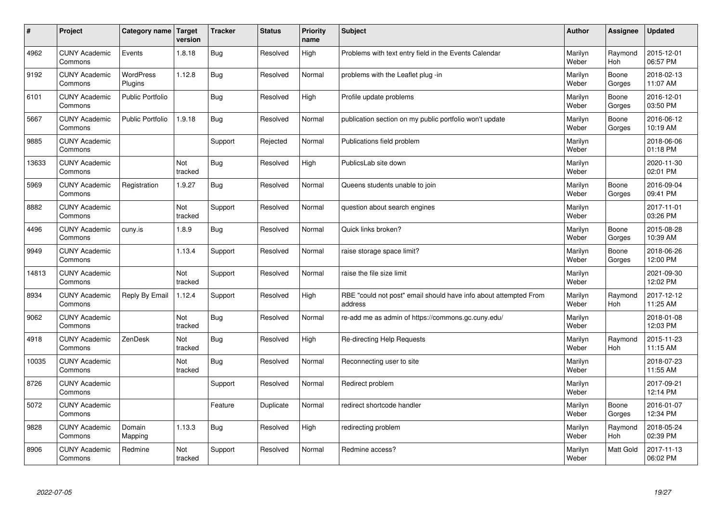| $\vert$ # | Project                         | Category name Target        | version        | <b>Tracker</b> | <b>Status</b> | <b>Priority</b><br>name | <b>Subject</b>                                                              | <b>Author</b>    | <b>Assignee</b>       | <b>Updated</b>         |
|-----------|---------------------------------|-----------------------------|----------------|----------------|---------------|-------------------------|-----------------------------------------------------------------------------|------------------|-----------------------|------------------------|
| 4962      | <b>CUNY Academic</b><br>Commons | Events                      | 1.8.18         | <b>Bug</b>     | Resolved      | High                    | Problems with text entry field in the Events Calendar                       | Marilyn<br>Weber | Raymond<br><b>Hoh</b> | 2015-12-01<br>06:57 PM |
| 9192      | <b>CUNY Academic</b><br>Commons | <b>WordPress</b><br>Plugins | 1.12.8         | Bug            | Resolved      | Normal                  | problems with the Leaflet plug -in                                          | Marilyn<br>Weber | Boone<br>Gorges       | 2018-02-13<br>11:07 AM |
| 6101      | <b>CUNY Academic</b><br>Commons | <b>Public Portfolio</b>     |                | Bug            | Resolved      | High                    | Profile update problems                                                     | Marilyn<br>Weber | Boone<br>Gorges       | 2016-12-01<br>03:50 PM |
| 5667      | <b>CUNY Academic</b><br>Commons | <b>Public Portfolio</b>     | 1.9.18         | Bug            | Resolved      | Normal                  | publication section on my public portfolio won't update                     | Marilyn<br>Weber | Boone<br>Gorges       | 2016-06-12<br>10:19 AM |
| 9885      | <b>CUNY Academic</b><br>Commons |                             |                | Support        | Rejected      | Normal                  | Publications field problem                                                  | Marilyn<br>Weber |                       | 2018-06-06<br>01:18 PM |
| 13633     | <b>CUNY Academic</b><br>Commons |                             | Not<br>tracked | Bug            | Resolved      | High                    | PublicsLab site down                                                        | Marilyn<br>Weber |                       | 2020-11-30<br>02:01 PM |
| 5969      | <b>CUNY Academic</b><br>Commons | Registration                | 1.9.27         | Bug            | Resolved      | Normal                  | Queens students unable to join                                              | Marilyn<br>Weber | Boone<br>Gorges       | 2016-09-04<br>09:41 PM |
| 8882      | <b>CUNY Academic</b><br>Commons |                             | Not<br>tracked | Support        | Resolved      | Normal                  | question about search engines                                               | Marilyn<br>Weber |                       | 2017-11-01<br>03:26 PM |
| 4496      | <b>CUNY Academic</b><br>Commons | cuny.is                     | 1.8.9          | Bug            | Resolved      | Normal                  | Quick links broken?                                                         | Marilyn<br>Weber | Boone<br>Gorges       | 2015-08-28<br>10:39 AM |
| 9949      | <b>CUNY Academic</b><br>Commons |                             | 1.13.4         | Support        | Resolved      | Normal                  | raise storage space limit?                                                  | Marilyn<br>Weber | Boone<br>Gorges       | 2018-06-26<br>12:00 PM |
| 14813     | <b>CUNY Academic</b><br>Commons |                             | Not<br>tracked | Support        | Resolved      | Normal                  | raise the file size limit                                                   | Marilyn<br>Weber |                       | 2021-09-30<br>12:02 PM |
| 8934      | <b>CUNY Academic</b><br>Commons | Reply By Email              | 1.12.4         | Support        | Resolved      | High                    | RBE "could not post" email should have info about attempted From<br>address | Marilyn<br>Weber | Raymond<br><b>Hoh</b> | 2017-12-12<br>11:25 AM |
| 9062      | <b>CUNY Academic</b><br>Commons |                             | Not<br>tracked | Bug            | Resolved      | Normal                  | re-add me as admin of https://commons.gc.cuny.edu/                          | Marilyn<br>Weber |                       | 2018-01-08<br>12:03 PM |
| 4918      | <b>CUNY Academic</b><br>Commons | ZenDesk                     | Not<br>tracked | Bug            | Resolved      | High                    | Re-directing Help Requests                                                  | Marilyn<br>Weber | Raymond<br>Hoh        | 2015-11-23<br>11:15 AM |
| 10035     | <b>CUNY Academic</b><br>Commons |                             | Not<br>tracked | <b>Bug</b>     | Resolved      | Normal                  | Reconnecting user to site                                                   | Marilyn<br>Weber |                       | 2018-07-23<br>11:55 AM |
| 8726      | <b>CUNY Academic</b><br>Commons |                             |                | Support        | Resolved      | Normal                  | Redirect problem                                                            | Marilyn<br>Weber |                       | 2017-09-21<br>12:14 PM |
| 5072      | <b>CUNY Academic</b><br>Commons |                             |                | Feature        | Duplicate     | Normal                  | redirect shortcode handler                                                  | Marilyn<br>Weber | Boone<br>Gorges       | 2016-01-07<br>12:34 PM |
| 9828      | <b>CUNY Academic</b><br>Commons | Domain<br>Mapping           | 1.13.3         | <b>Bug</b>     | Resolved      | High                    | redirecting problem                                                         | Marilyn<br>Weber | Raymond<br>Hoh        | 2018-05-24<br>02:39 PM |
| 8906      | <b>CUNY Academic</b><br>Commons | Redmine                     | Not<br>tracked | Support        | Resolved      | Normal                  | Redmine access?                                                             | Marilyn<br>Weber | <b>Matt Gold</b>      | 2017-11-13<br>06:02 PM |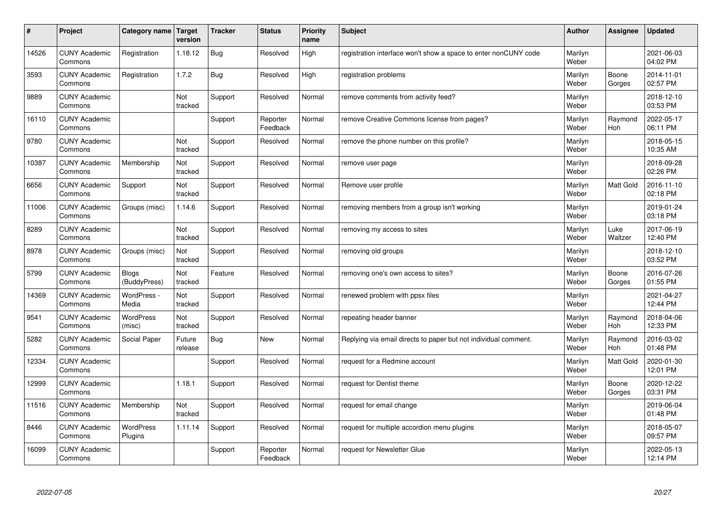| #     | Project                         | Category name                | Target<br>version | <b>Tracker</b> | <b>Status</b>        | <b>Priority</b><br>name | <b>Subject</b>                                                  | <b>Author</b>    | Assignee              | <b>Updated</b>         |
|-------|---------------------------------|------------------------------|-------------------|----------------|----------------------|-------------------------|-----------------------------------------------------------------|------------------|-----------------------|------------------------|
| 14526 | <b>CUNY Academic</b><br>Commons | Registration                 | 1.18.12           | Bug            | Resolved             | High                    | registration interface won't show a space to enter nonCUNY code | Marilyn<br>Weber |                       | 2021-06-03<br>04:02 PM |
| 3593  | <b>CUNY Academic</b><br>Commons | Registration                 | 1.7.2             | Bug            | Resolved             | High                    | registration problems                                           | Marilyn<br>Weber | Boone<br>Gorges       | 2014-11-01<br>02:57 PM |
| 9889  | <b>CUNY Academic</b><br>Commons |                              | Not<br>tracked    | Support        | Resolved             | Normal                  | remove comments from activity feed?                             | Marilyn<br>Weber |                       | 2018-12-10<br>03:53 PM |
| 16110 | <b>CUNY Academic</b><br>Commons |                              |                   | Support        | Reporter<br>Feedback | Normal                  | remove Creative Commons license from pages?                     | Marilyn<br>Weber | Raymond<br><b>Hoh</b> | 2022-05-17<br>06:11 PM |
| 9780  | <b>CUNY Academic</b><br>Commons |                              | Not<br>tracked    | Support        | Resolved             | Normal                  | remove the phone number on this profile?                        | Marilyn<br>Weber |                       | 2018-05-15<br>10:35 AM |
| 10387 | <b>CUNY Academic</b><br>Commons | Membership                   | Not<br>tracked    | Support        | Resolved             | Normal                  | remove user page                                                | Marilyn<br>Weber |                       | 2018-09-28<br>02:26 PM |
| 6656  | <b>CUNY Academic</b><br>Commons | Support                      | Not<br>tracked    | Support        | Resolved             | Normal                  | Remove user profile                                             | Marilyn<br>Weber | Matt Gold             | 2016-11-10<br>02:18 PM |
| 11006 | <b>CUNY Academic</b><br>Commons | Groups (misc)                | 1.14.6            | Support        | Resolved             | Normal                  | removing members from a group isn't working                     | Marilyn<br>Weber |                       | 2019-01-24<br>03:18 PM |
| 8289  | <b>CUNY Academic</b><br>Commons |                              | Not<br>tracked    | Support        | Resolved             | Normal                  | removing my access to sites                                     | Marilyn<br>Weber | Luke<br>Waltzer       | 2017-06-19<br>12:40 PM |
| 8978  | <b>CUNY Academic</b><br>Commons | Groups (misc)                | Not<br>tracked    | Support        | Resolved             | Normal                  | removing old groups                                             | Marilyn<br>Weber |                       | 2018-12-10<br>03:52 PM |
| 5799  | <b>CUNY Academic</b><br>Commons | <b>Blogs</b><br>(BuddyPress) | Not<br>tracked    | Feature        | Resolved             | Normal                  | removing one's own access to sites?                             | Marilyn<br>Weber | Boone<br>Gorges       | 2016-07-26<br>01:55 PM |
| 14369 | <b>CUNY Academic</b><br>Commons | WordPress -<br>Media         | Not<br>tracked    | Support        | Resolved             | Normal                  | renewed problem with ppsx files                                 | Marilyn<br>Weber |                       | 2021-04-27<br>12:44 PM |
| 9541  | <b>CUNY Academic</b><br>Commons | WordPress<br>(misc)          | Not<br>tracked    | Support        | Resolved             | Normal                  | repeating header banner                                         | Marilyn<br>Weber | Raymond<br>Hoh        | 2018-04-06<br>12:33 PM |
| 5282  | <b>CUNY Academic</b><br>Commons | Social Paper                 | Future<br>release | Bug            | <b>New</b>           | Normal                  | Replying via email directs to paper but not individual comment. | Marilyn<br>Weber | Raymond<br><b>Hoh</b> | 2016-03-02<br>01:48 PM |
| 12334 | <b>CUNY Academic</b><br>Commons |                              |                   | Support        | Resolved             | Normal                  | request for a Redmine account                                   | Marilyn<br>Weber | <b>Matt Gold</b>      | 2020-01-30<br>12:01 PM |
| 12999 | <b>CUNY Academic</b><br>Commons |                              | 1.18.1            | Support        | Resolved             | Normal                  | request for Dentist theme                                       | Marilyn<br>Weber | Boone<br>Gorges       | 2020-12-22<br>03:31 PM |
| 11516 | <b>CUNY Academic</b><br>Commons | Membership                   | Not<br>tracked    | Support        | Resolved             | Normal                  | request for email change                                        | Marilyn<br>Weber |                       | 2019-06-04<br>01:48 PM |
| 8446  | <b>CUNY Academic</b><br>Commons | <b>WordPress</b><br>Plugins  | 1.11.14           | Support        | Resolved             | Normal                  | request for multiple accordion menu plugins                     | Marilyn<br>Weber |                       | 2018-05-07<br>09:57 PM |
| 16099 | <b>CUNY Academic</b><br>Commons |                              |                   | Support        | Reporter<br>Feedback | Normal                  | request for Newsletter Glue                                     | Marilyn<br>Weber |                       | 2022-05-13<br>12:14 PM |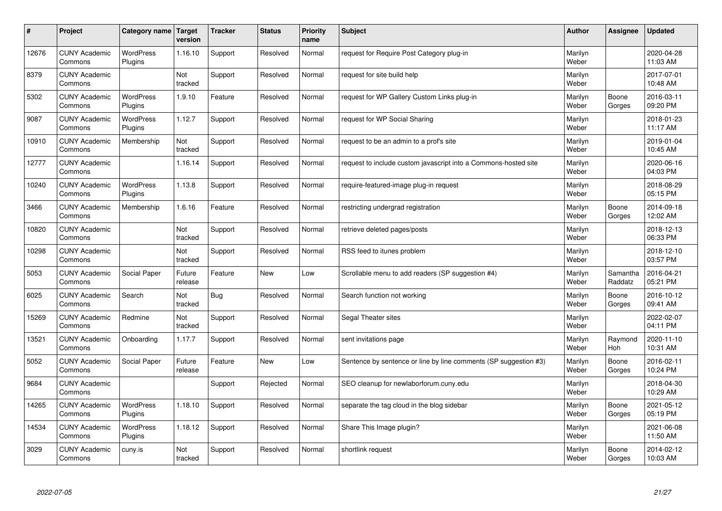| $\sharp$ | Project                         | Category name               | <b>Target</b><br>version | <b>Tracker</b> | <b>Status</b> | <b>Priority</b><br>name | <b>Subject</b>                                                   | <b>Author</b>    | Assignee              | Updated                |
|----------|---------------------------------|-----------------------------|--------------------------|----------------|---------------|-------------------------|------------------------------------------------------------------|------------------|-----------------------|------------------------|
| 12676    | <b>CUNY Academic</b><br>Commons | <b>WordPress</b><br>Plugins | 1.16.10                  | Support        | Resolved      | Normal                  | request for Require Post Category plug-in                        | Marilyn<br>Weber |                       | 2020-04-28<br>11:03 AM |
| 8379     | <b>CUNY Academic</b><br>Commons |                             | Not<br>tracked           | Support        | Resolved      | Normal                  | request for site build help                                      | Marilyn<br>Weber |                       | 2017-07-01<br>10:48 AM |
| 5302     | <b>CUNY Academic</b><br>Commons | <b>WordPress</b><br>Plugins | 1.9.10                   | Feature        | Resolved      | Normal                  | request for WP Gallery Custom Links plug-in                      | Marilyn<br>Weber | Boone<br>Gorges       | 2016-03-11<br>09:20 PM |
| 9087     | <b>CUNY Academic</b><br>Commons | <b>WordPress</b><br>Plugins | 1.12.7                   | Support        | Resolved      | Normal                  | request for WP Social Sharing                                    | Marilyn<br>Weber |                       | 2018-01-23<br>11:17 AM |
| 10910    | <b>CUNY Academic</b><br>Commons | Membership                  | Not<br>tracked           | Support        | Resolved      | Normal                  | request to be an admin to a prof's site                          | Marilyn<br>Weber |                       | 2019-01-04<br>10:45 AM |
| 12777    | <b>CUNY Academic</b><br>Commons |                             | 1.16.14                  | Support        | Resolved      | Normal                  | request to include custom javascript into a Commons-hosted site  | Marilyn<br>Weber |                       | 2020-06-16<br>04:03 PM |
| 10240    | <b>CUNY Academic</b><br>Commons | <b>WordPress</b><br>Plugins | 1.13.8                   | Support        | Resolved      | Normal                  | require-featured-image plug-in request                           | Marilyn<br>Weber |                       | 2018-08-29<br>05:15 PM |
| 3466     | <b>CUNY Academic</b><br>Commons | Membership                  | 1.6.16                   | Feature        | Resolved      | Normal                  | restricting undergrad registration                               | Marilyn<br>Weber | Boone<br>Gorges       | 2014-09-18<br>12:02 AM |
| 10820    | <b>CUNY Academic</b><br>Commons |                             | Not<br>tracked           | Support        | Resolved      | Normal                  | retrieve deleted pages/posts                                     | Marilyn<br>Weber |                       | 2018-12-13<br>06:33 PM |
| 10298    | <b>CUNY Academic</b><br>Commons |                             | Not<br>tracked           | Support        | Resolved      | Normal                  | RSS feed to itunes problem                                       | Marilyn<br>Weber |                       | 2018-12-10<br>03:57 PM |
| 5053     | <b>CUNY Academic</b><br>Commons | Social Paper                | Future<br>release        | Feature        | New           | Low                     | Scrollable menu to add readers (SP suggestion #4)                | Marilyn<br>Weber | Samantha<br>Raddatz   | 2016-04-21<br>05:21 PM |
| 6025     | <b>CUNY Academic</b><br>Commons | Search                      | Not<br>tracked           | Bug            | Resolved      | Normal                  | Search function not working                                      | Marilyn<br>Weber | Boone<br>Gorges       | 2016-10-12<br>09:41 AM |
| 15269    | <b>CUNY Academic</b><br>Commons | Redmine                     | Not<br>tracked           | Support        | Resolved      | Normal                  | Segal Theater sites                                              | Marilyn<br>Weber |                       | 2022-02-07<br>04:11 PM |
| 13521    | <b>CUNY Academic</b><br>Commons | Onboarding                  | 1.17.7                   | Support        | Resolved      | Normal                  | sent invitations page                                            | Marilyn<br>Weber | Raymond<br><b>Hoh</b> | 2020-11-10<br>10:31 AM |
| 5052     | <b>CUNY Academic</b><br>Commons | Social Paper                | Future<br>release        | Feature        | <b>New</b>    | Low                     | Sentence by sentence or line by line comments (SP suggestion #3) | Marilyn<br>Weber | Boone<br>Gorges       | 2016-02-11<br>10:24 PM |
| 9684     | <b>CUNY Academic</b><br>Commons |                             |                          | Support        | Rejected      | Normal                  | SEO cleanup for newlaborforum.cuny.edu                           | Marilyn<br>Weber |                       | 2018-04-30<br>10:29 AM |
| 14265    | <b>CUNY Academic</b><br>Commons | WordPress<br>Plugins        | 1.18.10                  | Support        | Resolved      | Normal                  | separate the tag cloud in the blog sidebar                       | Marilyn<br>Weber | Boone<br>Gorges       | 2021-05-12<br>05:19 PM |
| 14534    | <b>CUNY Academic</b><br>Commons | <b>WordPress</b><br>Plugins | 1.18.12                  | Support        | Resolved      | Normal                  | Share This Image plugin?                                         | Marilyn<br>Weber |                       | 2021-06-08<br>11:50 AM |
| 3029     | <b>CUNY Academic</b><br>Commons | cuny.is                     | Not<br>tracked           | Support        | Resolved      | Normal                  | shortlink request                                                | Marilyn<br>Weber | Boone<br>Gorges       | 2014-02-12<br>10:03 AM |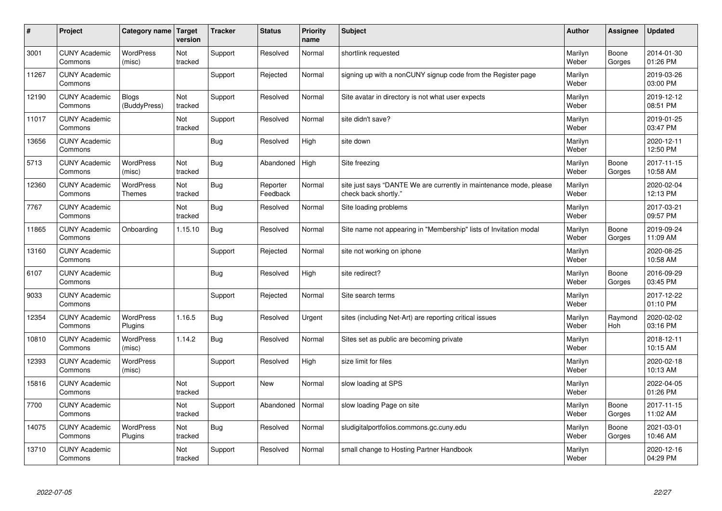| #     | Project                         | Category name   Target            | version        | <b>Tracker</b> | <b>Status</b>        | <b>Priority</b><br>name | <b>Subject</b>                                                                             | <b>Author</b>    | Assignee        | <b>Updated</b>         |
|-------|---------------------------------|-----------------------------------|----------------|----------------|----------------------|-------------------------|--------------------------------------------------------------------------------------------|------------------|-----------------|------------------------|
| 3001  | <b>CUNY Academic</b><br>Commons | <b>WordPress</b><br>(misc)        | Not<br>tracked | Support        | Resolved             | Normal                  | shortlink requested                                                                        | Marilyn<br>Weber | Boone<br>Gorges | 2014-01-30<br>01:26 PM |
| 11267 | <b>CUNY Academic</b><br>Commons |                                   |                | Support        | Rejected             | Normal                  | signing up with a nonCUNY signup code from the Register page                               | Marilyn<br>Weber |                 | 2019-03-26<br>03:00 PM |
| 12190 | <b>CUNY Academic</b><br>Commons | <b>Blogs</b><br>(BuddyPress)      | Not<br>tracked | Support        | Resolved             | Normal                  | Site avatar in directory is not what user expects                                          | Marilyn<br>Weber |                 | 2019-12-12<br>08:51 PM |
| 11017 | <b>CUNY Academic</b><br>Commons |                                   | Not<br>tracked | Support        | Resolved             | Normal                  | site didn't save?                                                                          | Marilyn<br>Weber |                 | 2019-01-25<br>03:47 PM |
| 13656 | <b>CUNY Academic</b><br>Commons |                                   |                | <b>Bug</b>     | Resolved             | High                    | site down                                                                                  | Marilyn<br>Weber |                 | 2020-12-11<br>12:50 PM |
| 5713  | <b>CUNY Academic</b><br>Commons | <b>WordPress</b><br>(misc)        | Not<br>tracked | <b>Bug</b>     | Abandoned            | High                    | Site freezing                                                                              | Marilyn<br>Weber | Boone<br>Gorges | 2017-11-15<br>10:58 AM |
| 12360 | <b>CUNY Academic</b><br>Commons | <b>WordPress</b><br><b>Themes</b> | Not<br>tracked | <b>Bug</b>     | Reporter<br>Feedback | Normal                  | site just says "DANTE We are currently in maintenance mode, please<br>check back shortly." | Marilyn<br>Weber |                 | 2020-02-04<br>12:13 PM |
| 7767  | <b>CUNY Academic</b><br>Commons |                                   | Not<br>tracked | <b>Bug</b>     | Resolved             | Normal                  | Site loading problems                                                                      | Marilyn<br>Weber |                 | 2017-03-21<br>09:57 PM |
| 11865 | <b>CUNY Academic</b><br>Commons | Onboarding                        | 1.15.10        | Bug            | Resolved             | Normal                  | Site name not appearing in "Membership" lists of Invitation modal                          | Marilyn<br>Weber | Boone<br>Gorges | 2019-09-24<br>11:09 AM |
| 13160 | <b>CUNY Academic</b><br>Commons |                                   |                | Support        | Rejected             | Normal                  | site not working on iphone                                                                 | Marilyn<br>Weber |                 | 2020-08-25<br>10:58 AM |
| 6107  | <b>CUNY Academic</b><br>Commons |                                   |                | Bug            | Resolved             | High                    | site redirect?                                                                             | Marilyn<br>Weber | Boone<br>Gorges | 2016-09-29<br>03:45 PM |
| 9033  | <b>CUNY Academic</b><br>Commons |                                   |                | Support        | Rejected             | Normal                  | Site search terms                                                                          | Marilyn<br>Weber |                 | 2017-12-22<br>01:10 PM |
| 12354 | <b>CUNY Academic</b><br>Commons | <b>WordPress</b><br>Plugins       | 1.16.5         | Bug            | Resolved             | Urgent                  | sites (including Net-Art) are reporting critical issues                                    | Marilyn<br>Weber | Raymond<br>Hoh  | 2020-02-02<br>03:16 PM |
| 10810 | <b>CUNY Academic</b><br>Commons | <b>WordPress</b><br>(misc)        | 1.14.2         | <b>Bug</b>     | Resolved             | Normal                  | Sites set as public are becoming private                                                   | Marilyn<br>Weber |                 | 2018-12-11<br>10:15 AM |
| 12393 | <b>CUNY Academic</b><br>Commons | WordPress<br>(misc)               |                | Support        | Resolved             | High                    | size limit for files                                                                       | Marilyn<br>Weber |                 | 2020-02-18<br>10:13 AM |
| 15816 | <b>CUNY Academic</b><br>Commons |                                   | Not<br>tracked | Support        | <b>New</b>           | Normal                  | slow loading at SPS                                                                        | Marilyn<br>Weber |                 | 2022-04-05<br>01:26 PM |
| 7700  | <b>CUNY Academic</b><br>Commons |                                   | Not<br>tracked | Support        | Abandoned            | Normal                  | slow loading Page on site                                                                  | Marilyn<br>Weber | Boone<br>Gorges | 2017-11-15<br>11:02 AM |
| 14075 | <b>CUNY Academic</b><br>Commons | <b>WordPress</b><br>Plugins       | Not<br>tracked | <b>Bug</b>     | Resolved             | Normal                  | sludigitalportfolios.commons.gc.cuny.edu                                                   | Marilyn<br>Weber | Boone<br>Gorges | 2021-03-01<br>10:46 AM |
| 13710 | <b>CUNY Academic</b><br>Commons |                                   | Not<br>tracked | Support        | Resolved             | Normal                  | small change to Hosting Partner Handbook                                                   | Marilyn<br>Weber |                 | 2020-12-16<br>04:29 PM |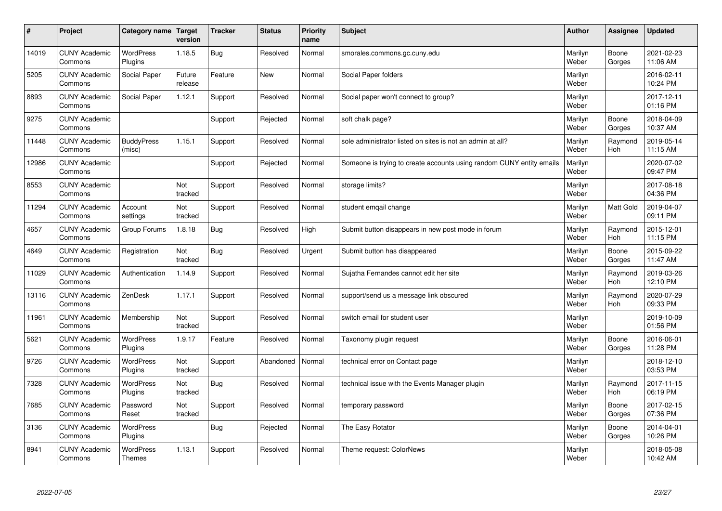| $\sharp$ | Project                         | Category name               | Target<br>version | <b>Tracker</b> | <b>Status</b> | <b>Priority</b><br>name | <b>Subject</b>                                                       | <b>Author</b>    | Assignee              | <b>Updated</b>         |
|----------|---------------------------------|-----------------------------|-------------------|----------------|---------------|-------------------------|----------------------------------------------------------------------|------------------|-----------------------|------------------------|
| 14019    | <b>CUNY Academic</b><br>Commons | <b>WordPress</b><br>Plugins | 1.18.5            | Bug            | Resolved      | Normal                  | smorales.commons.gc.cuny.edu                                         | Marilyn<br>Weber | Boone<br>Gorges       | 2021-02-23<br>11:06 AM |
| 5205     | <b>CUNY Academic</b><br>Commons | Social Paper                | Future<br>release | Feature        | <b>New</b>    | Normal                  | Social Paper folders                                                 | Marilyn<br>Weber |                       | 2016-02-11<br>10:24 PM |
| 8893     | <b>CUNY Academic</b><br>Commons | Social Paper                | 1.12.1            | Support        | Resolved      | Normal                  | Social paper won't connect to group?                                 | Marilyn<br>Weber |                       | 2017-12-11<br>01:16 PM |
| 9275     | <b>CUNY Academic</b><br>Commons |                             |                   | Support        | Rejected      | Normal                  | soft chalk page?                                                     | Marilyn<br>Weber | Boone<br>Gorges       | 2018-04-09<br>10:37 AM |
| 11448    | <b>CUNY Academic</b><br>Commons | <b>BuddyPress</b><br>(misc) | 1.15.1            | Support        | Resolved      | Normal                  | sole administrator listed on sites is not an admin at all?           | Marilyn<br>Weber | Raymond<br>Hoh        | 2019-05-14<br>11:15 AM |
| 12986    | <b>CUNY Academic</b><br>Commons |                             |                   | Support        | Rejected      | Normal                  | Someone is trying to create accounts using random CUNY entity emails | Marilyn<br>Weber |                       | 2020-07-02<br>09:47 PM |
| 8553     | <b>CUNY Academic</b><br>Commons |                             | Not<br>tracked    | Support        | Resolved      | Normal                  | storage limits?                                                      | Marilyn<br>Weber |                       | 2017-08-18<br>04:36 PM |
| 11294    | <b>CUNY Academic</b><br>Commons | Account<br>settings         | Not<br>tracked    | Support        | Resolved      | Normal                  | student emqail change                                                | Marilyn<br>Weber | Matt Gold             | 2019-04-07<br>09:11 PM |
| 4657     | <b>CUNY Academic</b><br>Commons | Group Forums                | 1.8.18            | Bug            | Resolved      | High                    | Submit button disappears in new post mode in forum                   | Marilyn<br>Weber | Raymond<br><b>Hoh</b> | 2015-12-01<br>11:15 PM |
| 4649     | <b>CUNY Academic</b><br>Commons | Registration                | Not<br>tracked    | Bug            | Resolved      | Urgent                  | Submit button has disappeared                                        | Marilyn<br>Weber | Boone<br>Gorges       | 2015-09-22<br>11:47 AM |
| 11029    | <b>CUNY Academic</b><br>Commons | Authentication              | 1.14.9            | Support        | Resolved      | Normal                  | Sujatha Fernandes cannot edit her site                               | Marilyn<br>Weber | Raymond<br>Hoh        | 2019-03-26<br>12:10 PM |
| 13116    | <b>CUNY Academic</b><br>Commons | ZenDesk                     | 1.17.1            | Support        | Resolved      | Normal                  | support/send us a message link obscured                              | Marilyn<br>Weber | Raymond<br>Hoh        | 2020-07-29<br>09:33 PM |
| 11961    | <b>CUNY Academic</b><br>Commons | Membership                  | Not<br>tracked    | Support        | Resolved      | Normal                  | switch email for student user                                        | Marilyn<br>Weber |                       | 2019-10-09<br>01:56 PM |
| 5621     | <b>CUNY Academic</b><br>Commons | WordPress<br>Plugins        | 1.9.17            | Feature        | Resolved      | Normal                  | Taxonomy plugin request                                              | Marilyn<br>Weber | Boone<br>Gorges       | 2016-06-01<br>11:28 PM |
| 9726     | <b>CUNY Academic</b><br>Commons | <b>WordPress</b><br>Plugins | Not<br>tracked    | Support        | Abandoned     | Normal                  | technical error on Contact page                                      | Marilyn<br>Weber |                       | 2018-12-10<br>03:53 PM |
| 7328     | <b>CUNY Academic</b><br>Commons | <b>WordPress</b><br>Plugins | Not<br>tracked    | Bug            | Resolved      | Normal                  | technical issue with the Events Manager plugin                       | Marilyn<br>Weber | Raymond<br><b>Hoh</b> | 2017-11-15<br>06:19 PM |
| 7685     | <b>CUNY Academic</b><br>Commons | Password<br>Reset           | Not<br>tracked    | Support        | Resolved      | Normal                  | temporary password                                                   | Marilyn<br>Weber | Boone<br>Gorges       | 2017-02-15<br>07:36 PM |
| 3136     | <b>CUNY Academic</b><br>Commons | WordPress<br>Plugins        |                   | Bug            | Rejected      | Normal                  | The Easy Rotator                                                     | Marilyn<br>Weber | Boone<br>Gorges       | 2014-04-01<br>10:26 PM |
| 8941     | <b>CUNY Academic</b><br>Commons | WordPress<br><b>Themes</b>  | 1.13.1            | Support        | Resolved      | Normal                  | Theme request: ColorNews                                             | Marilyn<br>Weber |                       | 2018-05-08<br>10:42 AM |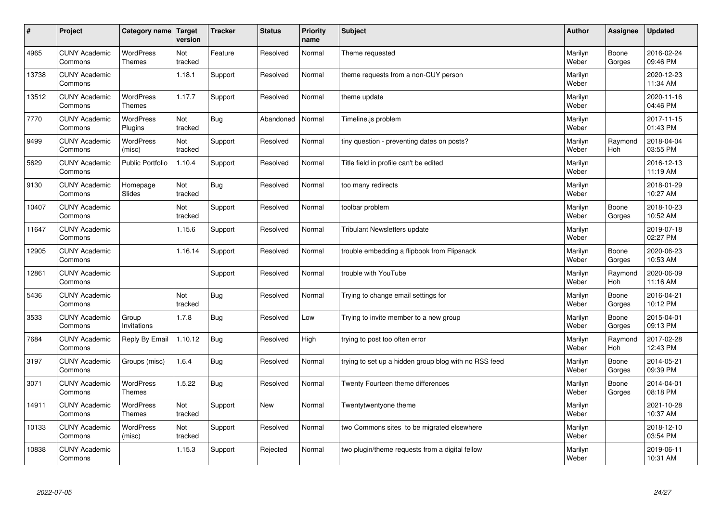| #     | Project                         | Category name                     | Target<br>version | <b>Tracker</b> | <b>Status</b> | <b>Priority</b><br>name | <b>Subject</b>                                        | <b>Author</b>    | Assignee              | <b>Updated</b>         |
|-------|---------------------------------|-----------------------------------|-------------------|----------------|---------------|-------------------------|-------------------------------------------------------|------------------|-----------------------|------------------------|
| 4965  | <b>CUNY Academic</b><br>Commons | <b>WordPress</b><br><b>Themes</b> | Not<br>tracked    | Feature        | Resolved      | Normal                  | Theme requested                                       | Marilyn<br>Weber | Boone<br>Gorges       | 2016-02-24<br>09:46 PM |
| 13738 | <b>CUNY Academic</b><br>Commons |                                   | 1.18.1            | Support        | Resolved      | Normal                  | theme requests from a non-CUY person                  | Marilyn<br>Weber |                       | 2020-12-23<br>11:34 AM |
| 13512 | <b>CUNY Academic</b><br>Commons | <b>WordPress</b><br><b>Themes</b> | 1.17.7            | Support        | Resolved      | Normal                  | theme update                                          | Marilyn<br>Weber |                       | 2020-11-16<br>04:46 PM |
| 7770  | <b>CUNY Academic</b><br>Commons | <b>WordPress</b><br>Plugins       | Not<br>tracked    | Bug            | Abandoned     | Normal                  | Timeline.js problem                                   | Marilyn<br>Weber |                       | 2017-11-15<br>01:43 PM |
| 9499  | <b>CUNY Academic</b><br>Commons | <b>WordPress</b><br>(misc)        | Not<br>tracked    | Support        | Resolved      | Normal                  | tiny question - preventing dates on posts?            | Marilyn<br>Weber | Raymond<br>Hoh        | 2018-04-04<br>03:55 PM |
| 5629  | <b>CUNY Academic</b><br>Commons | <b>Public Portfolio</b>           | 1.10.4            | Support        | Resolved      | Normal                  | Title field in profile can't be edited                | Marilyn<br>Weber |                       | 2016-12-13<br>11:19 AM |
| 9130  | <b>CUNY Academic</b><br>Commons | Homepage<br>Slides                | Not<br>tracked    | Bug            | Resolved      | Normal                  | too many redirects                                    | Marilyn<br>Weber |                       | 2018-01-29<br>10:27 AM |
| 10407 | <b>CUNY Academic</b><br>Commons |                                   | Not<br>tracked    | Support        | Resolved      | Normal                  | toolbar problem                                       | Marilyn<br>Weber | Boone<br>Gorges       | 2018-10-23<br>10:52 AM |
| 11647 | <b>CUNY Academic</b><br>Commons |                                   | 1.15.6            | Support        | Resolved      | Normal                  | <b>Tribulant Newsletters update</b>                   | Marilyn<br>Weber |                       | 2019-07-18<br>02:27 PM |
| 12905 | <b>CUNY Academic</b><br>Commons |                                   | 1.16.14           | Support        | Resolved      | Normal                  | trouble embedding a flipbook from Flipsnack           | Marilyn<br>Weber | Boone<br>Gorges       | 2020-06-23<br>10:53 AM |
| 12861 | <b>CUNY Academic</b><br>Commons |                                   |                   | Support        | Resolved      | Normal                  | trouble with YouTube                                  | Marilyn<br>Weber | Raymond<br>Hoh        | 2020-06-09<br>11:16 AM |
| 5436  | <b>CUNY Academic</b><br>Commons |                                   | Not<br>tracked    | Bug            | Resolved      | Normal                  | Trying to change email settings for                   | Marilyn<br>Weber | Boone<br>Gorges       | 2016-04-21<br>10:12 PM |
| 3533  | <b>CUNY Academic</b><br>Commons | Group<br>Invitations              | 1.7.8             | Bug            | Resolved      | Low                     | Trying to invite member to a new group                | Marilyn<br>Weber | Boone<br>Gorges       | 2015-04-01<br>09:13 PM |
| 7684  | <b>CUNY Academic</b><br>Commons | Reply By Email                    | 1.10.12           | Bug            | Resolved      | High                    | trying to post too often error                        | Marilyn<br>Weber | Raymond<br><b>Hoh</b> | 2017-02-28<br>12:43 PM |
| 3197  | <b>CUNY Academic</b><br>Commons | Groups (misc)                     | 1.6.4             | Bug            | Resolved      | Normal                  | trying to set up a hidden group blog with no RSS feed | Marilyn<br>Weber | Boone<br>Gorges       | 2014-05-21<br>09:39 PM |
| 3071  | <b>CUNY Academic</b><br>Commons | <b>WordPress</b><br><b>Themes</b> | 1.5.22            | Bug            | Resolved      | Normal                  | Twenty Fourteen theme differences                     | Marilyn<br>Weber | Boone<br>Gorges       | 2014-04-01<br>08:18 PM |
| 14911 | <b>CUNY Academic</b><br>Commons | WordPress<br>Themes               | Not<br>tracked    | Support        | <b>New</b>    | Normal                  | Twentytwentyone theme                                 | Marilyn<br>Weber |                       | 2021-10-28<br>10:37 AM |
| 10133 | <b>CUNY Academic</b><br>Commons | WordPress<br>(misc)               | Not<br>tracked    | Support        | Resolved      | Normal                  | two Commons sites to be migrated elsewhere            | Marilyn<br>Weber |                       | 2018-12-10<br>03:54 PM |
| 10838 | <b>CUNY Academic</b><br>Commons |                                   | 1.15.3            | Support        | Rejected      | Normal                  | two plugin/theme requests from a digital fellow       | Marilyn<br>Weber |                       | 2019-06-11<br>10:31 AM |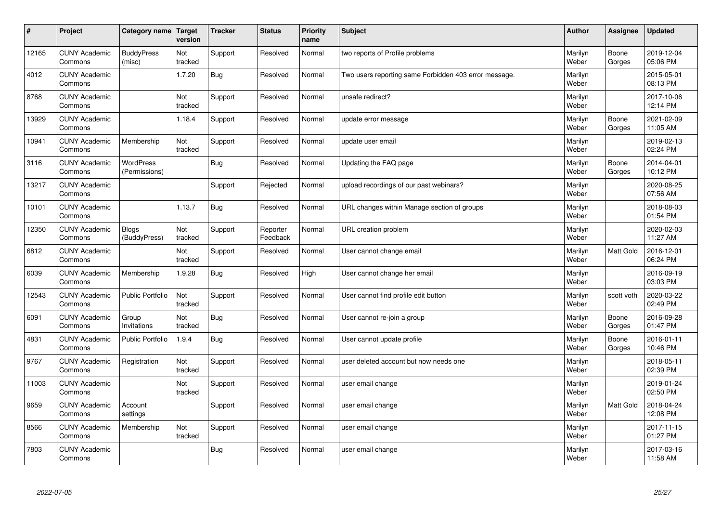| $\sharp$ | Project                         | Category name   Target       | version        | <b>Tracker</b> | <b>Status</b>        | <b>Priority</b><br>name | <b>Subject</b>                                        | <b>Author</b>    | Assignee         | Updated                |
|----------|---------------------------------|------------------------------|----------------|----------------|----------------------|-------------------------|-------------------------------------------------------|------------------|------------------|------------------------|
| 12165    | <b>CUNY Academic</b><br>Commons | <b>BuddyPress</b><br>(misc)  | Not<br>tracked | Support        | Resolved             | Normal                  | two reports of Profile problems                       | Marilyn<br>Weber | Boone<br>Gorges  | 2019-12-04<br>05:06 PM |
| 4012     | <b>CUNY Academic</b><br>Commons |                              | 1.7.20         | Bug            | Resolved             | Normal                  | Two users reporting same Forbidden 403 error message. | Marilyn<br>Weber |                  | 2015-05-01<br>08:13 PM |
| 8768     | <b>CUNY Academic</b><br>Commons |                              | Not<br>tracked | Support        | Resolved             | Normal                  | unsafe redirect?                                      | Marilyn<br>Weber |                  | 2017-10-06<br>12:14 PM |
| 13929    | <b>CUNY Academic</b><br>Commons |                              | 1.18.4         | Support        | Resolved             | Normal                  | update error message                                  | Marilyn<br>Weber | Boone<br>Gorges  | 2021-02-09<br>11:05 AM |
| 10941    | <b>CUNY Academic</b><br>Commons | Membership                   | Not<br>tracked | Support        | Resolved             | Normal                  | update user email                                     | Marilyn<br>Weber |                  | 2019-02-13<br>02:24 PM |
| 3116     | <b>CUNY Academic</b><br>Commons | WordPress<br>(Permissions)   |                | Bug            | Resolved             | Normal                  | Updating the FAQ page                                 | Marilyn<br>Weber | Boone<br>Gorges  | 2014-04-01<br>10:12 PM |
| 13217    | <b>CUNY Academic</b><br>Commons |                              |                | Support        | Rejected             | Normal                  | upload recordings of our past webinars?               | Marilyn<br>Weber |                  | 2020-08-25<br>07:56 AM |
| 10101    | <b>CUNY Academic</b><br>Commons |                              | 1.13.7         | Bug            | Resolved             | Normal                  | URL changes within Manage section of groups           | Marilyn<br>Weber |                  | 2018-08-03<br>01:54 PM |
| 12350    | <b>CUNY Academic</b><br>Commons | <b>Blogs</b><br>(BuddyPress) | Not<br>tracked | Support        | Reporter<br>Feedback | Normal                  | URL creation problem                                  | Marilyn<br>Weber |                  | 2020-02-03<br>11:27 AM |
| 6812     | <b>CUNY Academic</b><br>Commons |                              | Not<br>tracked | Support        | Resolved             | Normal                  | User cannot change email                              | Marilyn<br>Weber | <b>Matt Gold</b> | 2016-12-01<br>06:24 PM |
| 6039     | <b>CUNY Academic</b><br>Commons | Membership                   | 1.9.28         | Bug            | Resolved             | High                    | User cannot change her email                          | Marilyn<br>Weber |                  | 2016-09-19<br>03:03 PM |
| 12543    | <b>CUNY Academic</b><br>Commons | <b>Public Portfolio</b>      | Not<br>tracked | Support        | Resolved             | Normal                  | User cannot find profile edit button                  | Marilyn<br>Weber | scott voth       | 2020-03-22<br>02:49 PM |
| 6091     | <b>CUNY Academic</b><br>Commons | Group<br>Invitations         | Not<br>tracked | Bug            | Resolved             | Normal                  | User cannot re-join a group                           | Marilyn<br>Weber | Boone<br>Gorges  | 2016-09-28<br>01:47 PM |
| 4831     | <b>CUNY Academic</b><br>Commons | Public Portfolio             | 1.9.4          | Bug            | Resolved             | Normal                  | User cannot update profile                            | Marilyn<br>Weber | Boone<br>Gorges  | 2016-01-11<br>10:46 PM |
| 9767     | <b>CUNY Academic</b><br>Commons | Registration                 | Not<br>tracked | Support        | Resolved             | Normal                  | user deleted account but now needs one                | Marilyn<br>Weber |                  | 2018-05-11<br>02:39 PM |
| 11003    | <b>CUNY Academic</b><br>Commons |                              | Not<br>tracked | Support        | Resolved             | Normal                  | user email change                                     | Marilyn<br>Weber |                  | 2019-01-24<br>02:50 PM |
| 9659     | <b>CUNY Academic</b><br>Commons | Account<br>settings          |                | Support        | Resolved             | Normal                  | user email change                                     | Marilyn<br>Weber | Matt Gold        | 2018-04-24<br>12:08 PM |
| 8566     | <b>CUNY Academic</b><br>Commons | Membership                   | Not<br>tracked | Support        | Resolved             | Normal                  | user email change                                     | Marilyn<br>Weber |                  | 2017-11-15<br>01:27 PM |
| 7803     | <b>CUNY Academic</b><br>Commons |                              |                | Bug            | Resolved             | Normal                  | user email change                                     | Marilyn<br>Weber |                  | 2017-03-16<br>11:58 AM |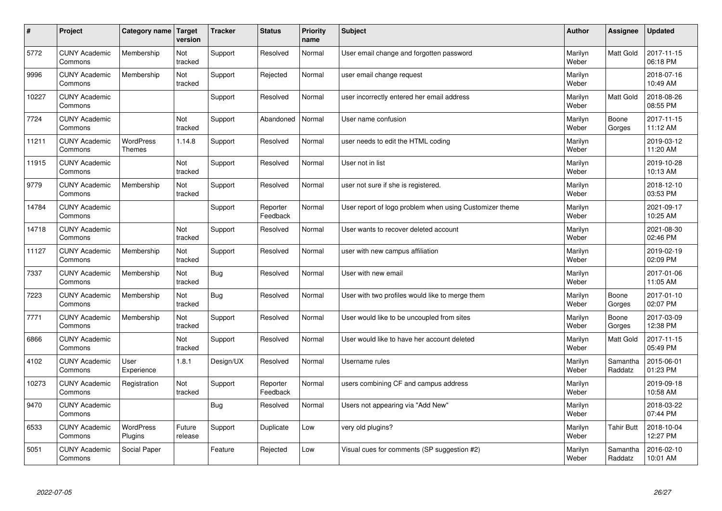| $\sharp$ | Project                         | Category name   Target      | version           | <b>Tracker</b> | <b>Status</b>        | <b>Priority</b><br>name | <b>Subject</b>                                          | <b>Author</b>    | Assignee            | <b>Updated</b>         |
|----------|---------------------------------|-----------------------------|-------------------|----------------|----------------------|-------------------------|---------------------------------------------------------|------------------|---------------------|------------------------|
| 5772     | <b>CUNY Academic</b><br>Commons | Membership                  | Not<br>tracked    | Support        | Resolved             | Normal                  | User email change and forgotten password                | Marilyn<br>Weber | <b>Matt Gold</b>    | 2017-11-15<br>06:18 PM |
| 9996     | <b>CUNY Academic</b><br>Commons | Membership                  | Not<br>tracked    | Support        | Rejected             | Normal                  | user email change request                               | Marilyn<br>Weber |                     | 2018-07-16<br>10:49 AM |
| 10227    | <b>CUNY Academic</b><br>Commons |                             |                   | Support        | Resolved             | Normal                  | user incorrectly entered her email address              | Marilyn<br>Weber | <b>Matt Gold</b>    | 2018-08-26<br>08:55 PM |
| 7724     | <b>CUNY Academic</b><br>Commons |                             | Not<br>tracked    | Support        | Abandoned            | Normal                  | User name confusion                                     | Marilyn<br>Weber | Boone<br>Gorges     | 2017-11-15<br>11:12 AM |
| 11211    | <b>CUNY Academic</b><br>Commons | <b>WordPress</b><br>Themes  | 1.14.8            | Support        | Resolved             | Normal                  | user needs to edit the HTML coding                      | Marilyn<br>Weber |                     | 2019-03-12<br>11:20 AM |
| 11915    | <b>CUNY Academic</b><br>Commons |                             | Not<br>tracked    | Support        | Resolved             | Normal                  | User not in list                                        | Marilyn<br>Weber |                     | 2019-10-28<br>10:13 AM |
| 9779     | <b>CUNY Academic</b><br>Commons | Membership                  | Not<br>tracked    | Support        | Resolved             | Normal                  | user not sure if she is registered.                     | Marilyn<br>Weber |                     | 2018-12-10<br>03:53 PM |
| 14784    | <b>CUNY Academic</b><br>Commons |                             |                   | Support        | Reporter<br>Feedback | Normal                  | User report of logo problem when using Customizer theme | Marilyn<br>Weber |                     | 2021-09-17<br>10:25 AM |
| 14718    | <b>CUNY Academic</b><br>Commons |                             | Not<br>tracked    | Support        | Resolved             | Normal                  | User wants to recover deleted account                   | Marilyn<br>Weber |                     | 2021-08-30<br>02:46 PM |
| 11127    | <b>CUNY Academic</b><br>Commons | Membership                  | Not<br>tracked    | Support        | Resolved             | Normal                  | user with new campus affiliation                        | Marilyn<br>Weber |                     | 2019-02-19<br>02:09 PM |
| 7337     | <b>CUNY Academic</b><br>Commons | Membership                  | Not<br>tracked    | Bug            | Resolved             | Normal                  | User with new email                                     | Marilyn<br>Weber |                     | 2017-01-06<br>11:05 AM |
| 7223     | <b>CUNY Academic</b><br>Commons | Membership                  | Not<br>tracked    | Bug            | Resolved             | Normal                  | User with two profiles would like to merge them         | Marilyn<br>Weber | Boone<br>Gorges     | 2017-01-10<br>02:07 PM |
| 7771     | <b>CUNY Academic</b><br>Commons | Membership                  | Not<br>tracked    | Support        | Resolved             | Normal                  | User would like to be uncoupled from sites              | Marilyn<br>Weber | Boone<br>Gorges     | 2017-03-09<br>12:38 PM |
| 6866     | <b>CUNY Academic</b><br>Commons |                             | Not<br>tracked    | Support        | Resolved             | Normal                  | User would like to have her account deleted             | Marilyn<br>Weber | Matt Gold           | 2017-11-15<br>05:49 PM |
| 4102     | <b>CUNY Academic</b><br>Commons | User<br>Experience          | 1.8.1             | Design/UX      | Resolved             | Normal                  | Username rules                                          | Marilyn<br>Weber | Samantha<br>Raddatz | 2015-06-01<br>01:23 PM |
| 10273    | <b>CUNY Academic</b><br>Commons | Registration                | Not<br>tracked    | Support        | Reporter<br>Feedback | Normal                  | users combining CF and campus address                   | Marilyn<br>Weber |                     | 2019-09-18<br>10:58 AM |
| 9470     | <b>CUNY Academic</b><br>Commons |                             |                   | Bug            | Resolved             | Normal                  | Users not appearing via "Add New"                       | Marilyn<br>Weber |                     | 2018-03-22<br>07:44 PM |
| 6533     | <b>CUNY Academic</b><br>Commons | <b>WordPress</b><br>Plugins | Future<br>release | Support        | Duplicate            | Low                     | very old plugins?                                       | Marilyn<br>Weber | <b>Tahir Butt</b>   | 2018-10-04<br>12:27 PM |
| 5051     | <b>CUNY Academic</b><br>Commons | Social Paper                |                   | Feature        | Rejected             | Low                     | Visual cues for comments (SP suggestion #2)             | Marilyn<br>Weber | Samantha<br>Raddatz | 2016-02-10<br>10:01 AM |